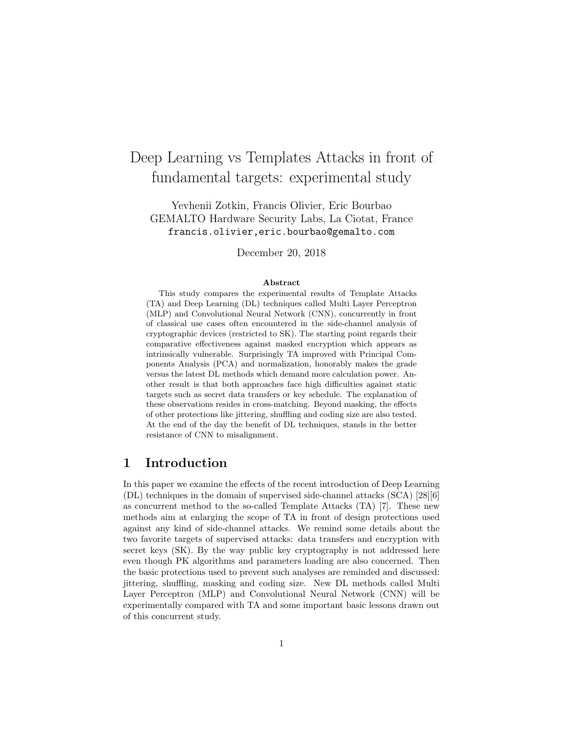# Deep Learning vs Templates Attacks in front of fundamental targets: experimental study

Yevhenii Zotkin, Francis Olivier, Eric Bourbao GEMALTO Hardware Security Labs, La Ciotat, France francis.olivier,eric.bourbao@gemalto.com

December 20, 2018

#### Abstract

This study compares the experimental results of Template Attacks (TA) and Deep Learning (DL) techniques called Multi Layer Perceptron (MLP) and Convolutional Neural Network (CNN), concurrently in front of classical use cases often encountered in the side-channel analysis of cryptographic devices (restricted to SK). The starting point regards their comparative effectiveness against masked encryption which appears as intrinsically vulnerable. Surprisingly TA improved with Principal Components Analysis (PCA) and normalization, honorably makes the grade versus the latest DL methods which demand more calculation power. Another result is that both approaches face high difficulties against static targets such as secret data transfers or key schedule. The explanation of these observations resides in cross-matching. Beyond masking, the effects of other protections like jittering, shuffling and coding size are also tested. At the end of the day the benefit of DL techniques, stands in the better resistance of CNN to misalignment.

# 1 Introduction

In this paper we examine the effects of the recent introduction of Deep Learning (DL) techniques in the domain of supervised side-channel attacks (SCA) [28][6] as concurrent method to the so-called Template Attacks (TA) [7]. These new methods aim at enlarging the scope of TA in front of design protections used against any kind of side-channel attacks. We remind some details about the two favorite targets of supervised attacks: data transfers and encryption with secret keys (SK). By the way public key cryptography is not addressed here even though PK algorithms and parameters loading are also concerned. Then the basic protections used to prevent such analyses are reminded and discussed: jittering, shuffling, masking and coding size. New DL methods called Multi Layer Perceptron (MLP) and Convolutional Neural Network (CNN) will be experimentally compared with TA and some important basic lessons drawn out of this concurrent study.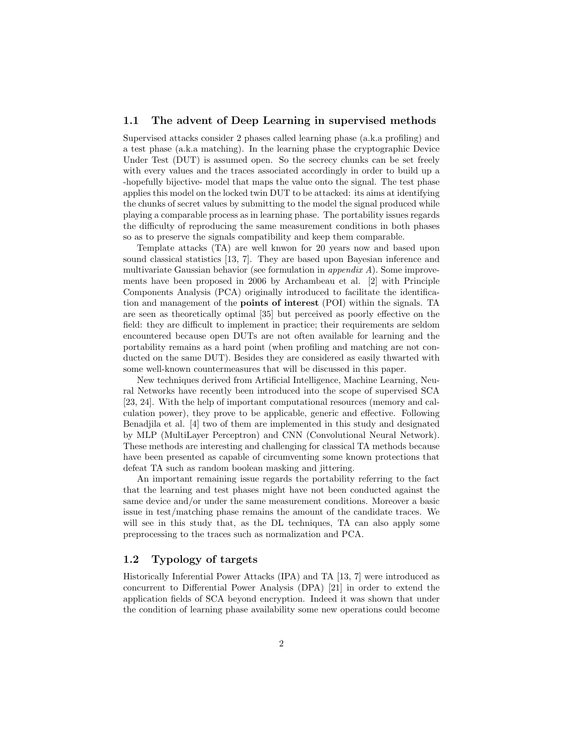## 1.1 The advent of Deep Learning in supervised methods

Supervised attacks consider 2 phases called learning phase (a.k.a profiling) and a test phase (a.k.a matching). In the learning phase the cryptographic Device Under Test (DUT) is assumed open. So the secrecy chunks can be set freely with every values and the traces associated accordingly in order to build up a -hopefully bijective- model that maps the value onto the signal. The test phase applies this model on the locked twin DUT to be attacked: its aims at identifying the chunks of secret values by submitting to the model the signal produced while playing a comparable process as in learning phase. The portability issues regards the difficulty of reproducing the same measurement conditions in both phases so as to preserve the signals compatibility and keep them comparable.

Template attacks (TA) are well knwon for 20 years now and based upon sound classical statistics [13, 7]. They are based upon Bayesian inference and multivariate Gaussian behavior (see formulation in *appendix A*). Some improvements have been proposed in 2006 by Archambeau et al. [2] with Principle Components Analysis (PCA) originally introduced to facilitate the identification and management of the points of interest (POI) within the signals. TA are seen as theoretically optimal [35] but perceived as poorly effective on the field: they are difficult to implement in practice; their requirements are seldom encountered because open DUTs are not often available for learning and the portability remains as a hard point (when profiling and matching are not conducted on the same DUT). Besides they are considered as easily thwarted with some well-known countermeasures that will be discussed in this paper.

New techniques derived from Artificial Intelligence, Machine Learning, Neural Networks have recently been introduced into the scope of supervised SCA [23, 24]. With the help of important computational resources (memory and calculation power), they prove to be applicable, generic and effective. Following Benadjila et al. [4] two of them are implemented in this study and designated by MLP (MultiLayer Perceptron) and CNN (Convolutional Neural Network). These methods are interesting and challenging for classical TA methods because have been presented as capable of circumventing some known protections that defeat TA such as random boolean masking and jittering.

An important remaining issue regards the portability referring to the fact that the learning and test phases might have not been conducted against the same device and/or under the same measurement conditions. Moreover a basic issue in test/matching phase remains the amount of the candidate traces. We will see in this study that, as the DL techniques, TA can also apply some preprocessing to the traces such as normalization and PCA.

## 1.2 Typology of targets

Historically Inferential Power Attacks (IPA) and TA [13, 7] were introduced as concurrent to Differential Power Analysis (DPA) [21] in order to extend the application fields of SCA beyond encryption. Indeed it was shown that under the condition of learning phase availability some new operations could become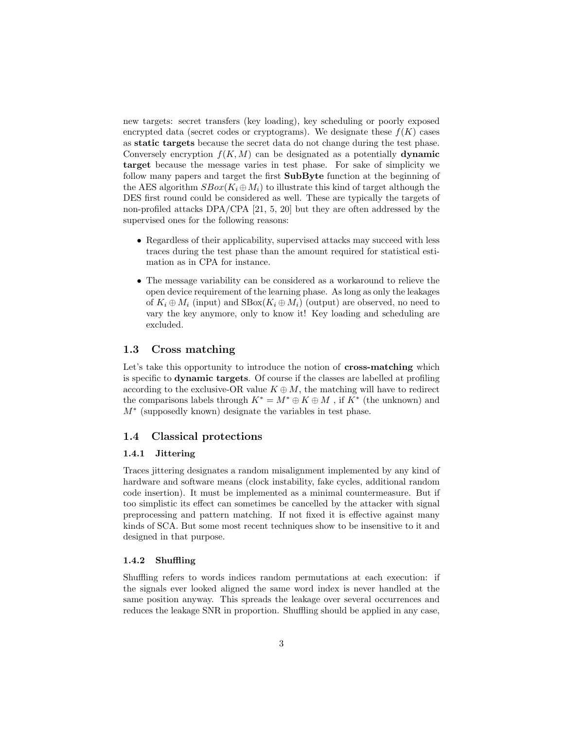new targets: secret transfers (key loading), key scheduling or poorly exposed encrypted data (secret codes or cryptograms). We designate these  $f(K)$  cases as static targets because the secret data do not change during the test phase. Conversely encryption  $f(K, M)$  can be designated as a potentially **dynamic** target because the message varies in test phase. For sake of simplicity we follow many papers and target the first SubByte function at the beginning of the AES algorithm  $SBox(K_i \oplus M_i)$  to illustrate this kind of target although the DES first round could be considered as well. These are typically the targets of non-profiled attacks DPA/CPA [21, 5, 20] but they are often addressed by the supervised ones for the following reasons:

- Regardless of their applicability, supervised attacks may succeed with less traces during the test phase than the amount required for statistical estimation as in CPA for instance.
- The message variability can be considered as a workaround to relieve the open device requirement of the learning phase. As long as only the leakages of  $K_i \oplus M_i$  (input) and  $SBox(K_i \oplus M_i)$  (output) are observed, no need to vary the key anymore, only to know it! Key loading and scheduling are excluded.

## 1.3 Cross matching

Let's take this opportunity to introduce the notion of **cross-matching** which is specific to dynamic targets. Of course if the classes are labelled at profiling according to the exclusive-OR value  $K \oplus M$ , the matching will have to redirect the comparisons labels through  $K^* = M^* \oplus K \oplus M$ , if  $K^*$  (the unknown) and  $M^*$  (supposedly known) designate the variables in test phase.

## 1.4 Classical protections

## 1.4.1 Jittering

Traces jittering designates a random misalignment implemented by any kind of hardware and software means (clock instability, fake cycles, additional random code insertion). It must be implemented as a minimal countermeasure. But if too simplistic its effect can sometimes be cancelled by the attacker with signal preprocessing and pattern matching. If not fixed it is effective against many kinds of SCA. But some most recent techniques show to be insensitive to it and designed in that purpose.

#### 1.4.2 Shuffling

Shuffling refers to words indices random permutations at each execution: if the signals ever looked aligned the same word index is never handled at the same position anyway. This spreads the leakage over several occurrences and reduces the leakage SNR in proportion. Shuffling should be applied in any case,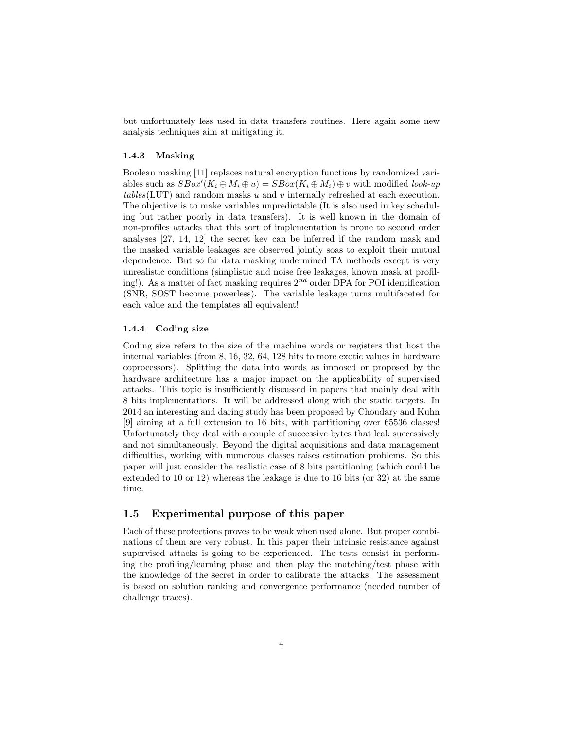but unfortunately less used in data transfers routines. Here again some new analysis techniques aim at mitigating it.

#### 1.4.3 Masking

Boolean masking [11] replaces natural encryption functions by randomized variables such as  $SBox'(K_i \oplus M_i \oplus u) = SBox(K_i \oplus M_i) \oplus v$  with modified *look-up* tables(LUT) and random masks u and v internally refreshed at each execution. The objective is to make variables unpredictable (It is also used in key scheduling but rather poorly in data transfers). It is well known in the domain of non-profiles attacks that this sort of implementation is prone to second order analyses [27, 14, 12] the secret key can be inferred if the random mask and the masked variable leakages are observed jointly soas to exploit their mutual dependence. But so far data masking undermined TA methods except is very unrealistic conditions (simplistic and noise free leakages, known mask at profiling!). As a matter of fact masking requires  $2^{nd}$  order DPA for POI identification (SNR, SOST become powerless). The variable leakage turns multifaceted for each value and the templates all equivalent!

#### 1.4.4 Coding size

Coding size refers to the size of the machine words or registers that host the internal variables (from 8, 16, 32, 64, 128 bits to more exotic values in hardware coprocessors). Splitting the data into words as imposed or proposed by the hardware architecture has a major impact on the applicability of supervised attacks. This topic is insufficiently discussed in papers that mainly deal with 8 bits implementations. It will be addressed along with the static targets. In 2014 an interesting and daring study has been proposed by Choudary and Kuhn [9] aiming at a full extension to 16 bits, with partitioning over 65536 classes! Unfortunately they deal with a couple of successive bytes that leak successively and not simultaneously. Beyond the digital acquisitions and data management difficulties, working with numerous classes raises estimation problems. So this paper will just consider the realistic case of 8 bits partitioning (which could be extended to 10 or 12) whereas the leakage is due to 16 bits (or 32) at the same time.

## 1.5 Experimental purpose of this paper

Each of these protections proves to be weak when used alone. But proper combinations of them are very robust. In this paper their intrinsic resistance against supervised attacks is going to be experienced. The tests consist in performing the profiling/learning phase and then play the matching/test phase with the knowledge of the secret in order to calibrate the attacks. The assessment is based on solution ranking and convergence performance (needed number of challenge traces).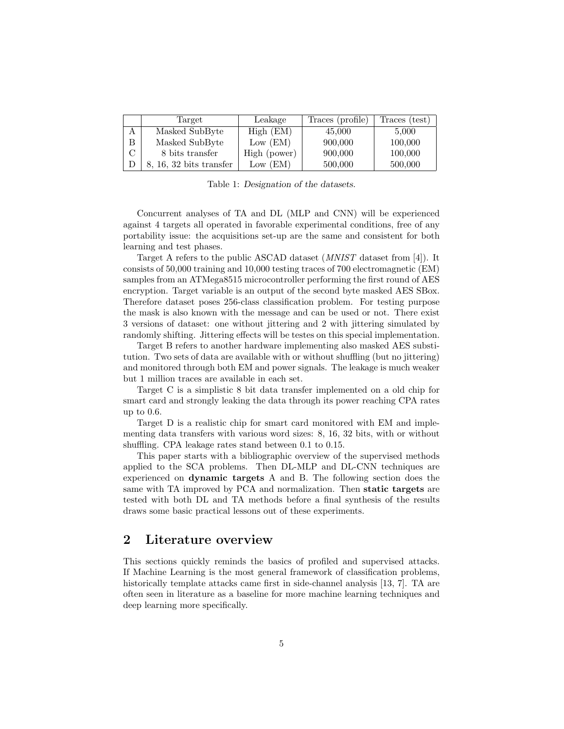|   | Target                    | Leakage      | Traces (profile) | Traces (test) |
|---|---------------------------|--------------|------------------|---------------|
| Α | Masked SubByte            | High (EM)    | 45,000           | 5,000         |
| B | Masked SubByte            | Low $(EM)$   | 900,000          | 100,000       |
|   | 8 bits transfer           | High (power) | 900,000          | 100,000       |
|   | $8, 16, 32$ bits transfer | Low (EM)     | 500,000          | 500,000       |

Table 1: Designation of the datasets.

Concurrent analyses of TA and DL (MLP and CNN) will be experienced against 4 targets all operated in favorable experimental conditions, free of any portability issue: the acquisitions set-up are the same and consistent for both learning and test phases.

Target A refers to the public ASCAD dataset (MNIST dataset from [4]). It consists of 50,000 training and 10,000 testing traces of 700 electromagnetic (EM) samples from an ATMega8515 microcontroller performing the first round of AES encryption. Target variable is an output of the second byte masked AES SBox. Therefore dataset poses 256-class classification problem. For testing purpose the mask is also known with the message and can be used or not. There exist 3 versions of dataset: one without jittering and 2 with jittering simulated by randomly shifting. Jittering effects will be testes on this special implementation.

Target B refers to another hardware implementing also masked AES substitution. Two sets of data are available with or without shuffling (but no jittering) and monitored through both EM and power signals. The leakage is much weaker but 1 million traces are available in each set.

Target C is a simplistic 8 bit data transfer implemented on a old chip for smart card and strongly leaking the data through its power reaching CPA rates up to 0.6.

Target D is a realistic chip for smart card monitored with EM and implementing data transfers with various word sizes: 8, 16, 32 bits, with or without shuffling. CPA leakage rates stand between 0.1 to 0.15.

This paper starts with a bibliographic overview of the supervised methods applied to the SCA problems. Then DL-MLP and DL-CNN techniques are experienced on dynamic targets A and B. The following section does the same with TA improved by PCA and normalization. Then static targets are tested with both DL and TA methods before a final synthesis of the results draws some basic practical lessons out of these experiments.

## 2 Literature overview

This sections quickly reminds the basics of profiled and supervised attacks. If Machine Learning is the most general framework of classification problems, historically template attacks came first in side-channel analysis [13, 7]. TA are often seen in literature as a baseline for more machine learning techniques and deep learning more specifically.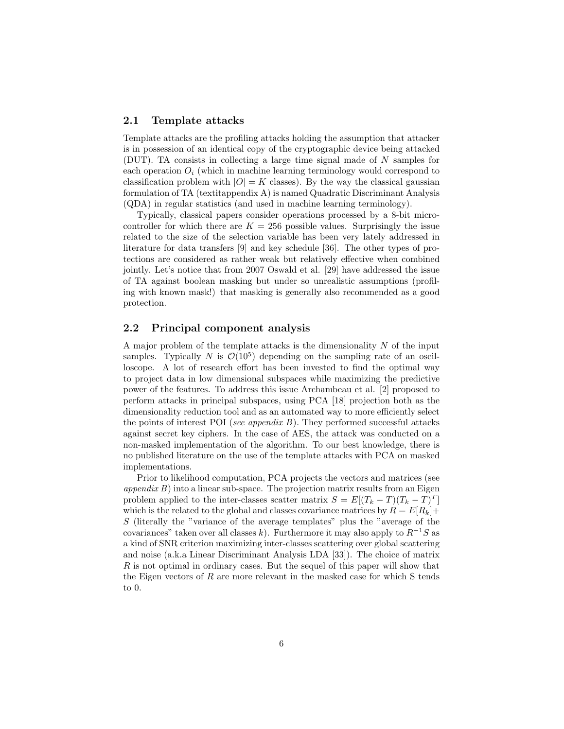## 2.1 Template attacks

Template attacks are the profiling attacks holding the assumption that attacker is in possession of an identical copy of the cryptographic device being attacked (DUT). TA consists in collecting a large time signal made of N samples for each operation  $O_i$  (which in machine learning terminology would correspond to classification problem with  $|O| = K$  classes). By the way the classical gaussian formulation of TA (textitappendix A) is named Quadratic Discriminant Analysis (QDA) in regular statistics (and used in machine learning terminology).

Typically, classical papers consider operations processed by a 8-bit microcontroller for which there are  $K = 256$  possible values. Surprisingly the issue related to the size of the selection variable has been very lately addressed in literature for data transfers [9] and key schedule [36]. The other types of protections are considered as rather weak but relatively effective when combined jointly. Let's notice that from 2007 Oswald et al. [29] have addressed the issue of TA against boolean masking but under so unrealistic assumptions (profiling with known mask!) that masking is generally also recommended as a good protection.

## 2.2 Principal component analysis

A major problem of the template attacks is the dimensionality  $N$  of the input samples. Typically N is  $\mathcal{O}(10^5)$  depending on the sampling rate of an oscilloscope. A lot of research effort has been invested to find the optimal way to project data in low dimensional subspaces while maximizing the predictive power of the features. To address this issue Archambeau et al. [2] proposed to perform attacks in principal subspaces, using PCA [18] projection both as the dimensionality reduction tool and as an automated way to more efficiently select the points of interest POI (see appendix  $B$ ). They performed successful attacks against secret key ciphers. In the case of AES, the attack was conducted on a non-masked implementation of the algorithm. To our best knowledge, there is no published literature on the use of the template attacks with PCA on masked implementations.

Prior to likelihood computation, PCA projects the vectors and matrices (see  $appendix B)$  into a linear sub-space. The projection matrix results from an Eigen problem applied to the inter-classes scatter matrix  $S = E[(T_k - T)(T_k - T)^T]$ which is the related to the global and classes covariance matrices by  $R = E[R_k]+$ S (literally the "variance of the average templates" plus the "average of the covariances" taken over all classes k). Furthermore it may also apply to  $R^{-1}S$  as a kind of SNR criterion maximizing inter-classes scattering over global scattering and noise (a.k.a Linear Discriminant Analysis LDA [33]). The choice of matrix  $R$  is not optimal in ordinary cases. But the sequel of this paper will show that the Eigen vectors of  $R$  are more relevant in the masked case for which  $S$  tends to 0.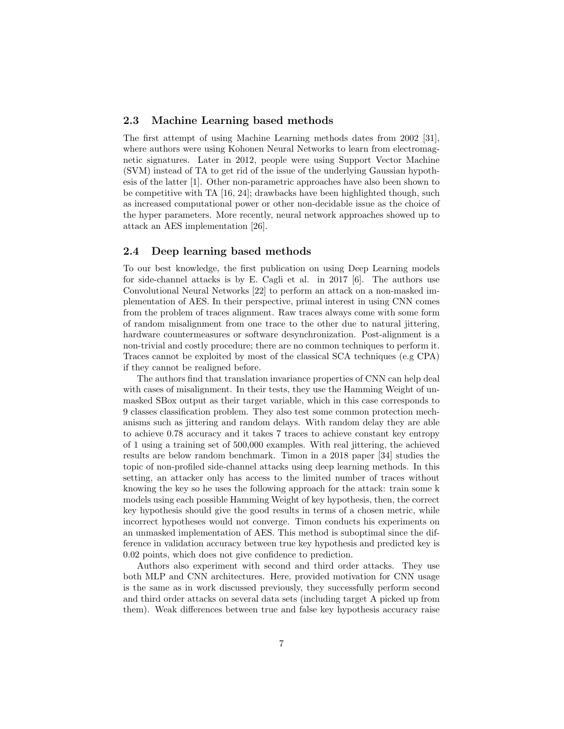#### 2.3 Machine Learning based methods

The first attempt of using Machine Learning methods dates from 2002 [31], where authors were using Kohonen Neural Networks to learn from electromagnetic signatures. Later in 2012, people were using Support Vector Machine (SVM) instead of TA to get rid of the issue of the underlying Gaussian hypothesis of the latter [1]. Other non-parametric approaches have also been shown to be competitive with TA [16, 24]; drawbacks have been highlighted though, such as increased computational power or other non-decidable issue as the choice of the hyper parameters. More recently, neural network approaches showed up to attack an AES implementation [26].

## 2.4 Deep learning based methods

To our best knowledge, the first publication on using Deep Learning models for side-channel attacks is by E. Cagli et al. in 2017 [6]. The authors use Convolutional Neural Networks [22] to perform an attack on a non-masked implementation of AES. In their perspective, primal interest in using CNN comes from the problem of traces alignment. Raw traces always come with some form of random misalignment from one trace to the other due to natural jittering, hardware countermeasures or software desynchronization. Post-alignment is a non-trivial and costly procedure; there are no common techniques to perform it. Traces cannot be exploited by most of the classical SCA techniques (e.g CPA) if they cannot be realigned before.

The authors find that translation invariance properties of CNN can help deal with cases of misalignment. In their tests, they use the Hamming Weight of unmasked SBox output as their target variable, which in this case corresponds to 9 classes classification problem. They also test some common protection mechanisms such as jittering and random delays. With random delay they are able to achieve 0.78 accuracy and it takes 7 traces to achieve constant key entropy of 1 using a training set of 500,000 examples. With real jittering, the achieved results are below random benchmark. Timon in a 2018 paper [34] studies the topic of non-profiled side-channel attacks using deep learning methods. In this setting, an attacker only has access to the limited number of traces without knowing the key so he uses the following approach for the attack: train some k models using each possible Hamming Weight of key hypothesis, then, the correct key hypothesis should give the good results in terms of a chosen metric, while incorrect hypotheses would not converge. Timon conducts his experiments on an unmasked implementation of AES. This method is suboptimal since the difference in validation accuracy between true key hypothesis and predicted key is 0.02 points, which does not give confidence to prediction.

Authors also experiment with second and third order attacks. They use both MLP and CNN architectures. Here, provided motivation for CNN usage is the same as in work discussed previously, they successfully perform second and third order attacks on several data sets (including target A picked up from them). Weak differences between true and false key hypothesis accuracy raise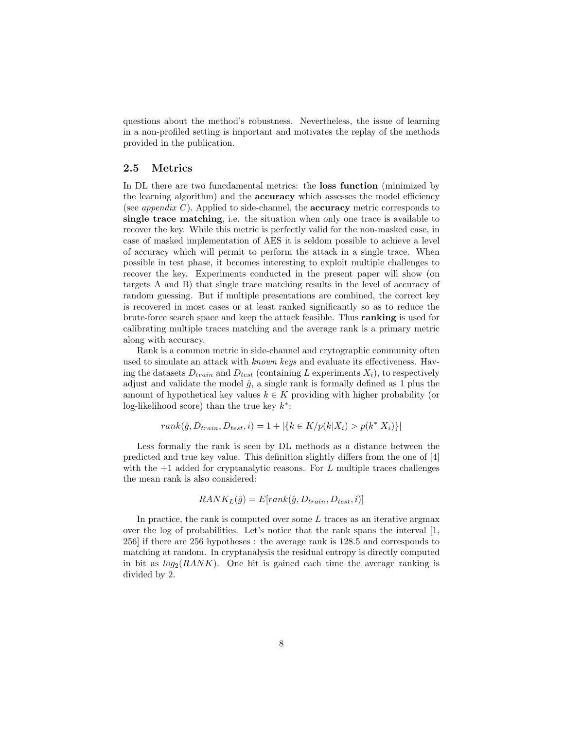questions about the method's robustness. Nevertheless, the issue of learning in a non-profiled setting is important and motivates the replay of the methods provided in the publication.

## 2.5 Metrics

In DL there are two funcdamental metrics: the loss function (minimized by the learning algorithm) and the accuracy which assesses the model efficiency (see *appendix C*). Applied to side-channel, the **accuracy** metric corresponds to single trace matching, i.e. the situation when only one trace is available to recover the key. While this metric is perfectly valid for the non-masked case, in case of masked implementation of AES it is seldom possible to achieve a level of accuracy which will permit to perform the attack in a single trace. When possible in test phase, it becomes interesting to exploit multiple challenges to recover the key. Experiments conducted in the present paper will show (on targets A and B) that single trace matching results in the level of accuracy of random guessing. But if multiple presentations are combined, the correct key is recovered in most cases or at least ranked significantly so as to reduce the brute-force search space and keep the attack feasible. Thus ranking is used for calibrating multiple traces matching and the average rank is a primary metric along with accuracy.

Rank is a common metric in side-channel and crytographic community often used to simulate an attack with known keys and evaluate its effectiveness. Having the datasets  $D_{train}$  and  $D_{test}$  (containing L experiments  $X_i$ ), to respectively adjust and validate the model  $\hat{g}$ , a single rank is formally defined as 1 plus the amount of hypothetical key values  $k \in K$  providing with higher probability (or log-likelihood score) than the true key  $k^*$ :

$$
rank(\hat{g}, D_{train}, D_{test}, i) = 1 + |\{k \in K/p(k|X_i) > p(k^*|X_i)\}|
$$

Less formally the rank is seen by DL methods as a distance between the predicted and true key value. This definition slightly differs from the one of [4] with the  $+1$  added for cryptanalytic reasons. For L multiple traces challenges the mean rank is also considered:

$$
RANK_L(\hat{g}) = E[rank(\hat{g}, D_{train}, D_{test}, i)]
$$

In practice, the rank is computed over some  $L$  traces as an iterative argmax over the log of probabilities. Let's notice that the rank spans the interval [1, 256] if there are 256 hypotheses : the average rank is 128.5 and corresponds to matching at random. In cryptanalysis the residual entropy is directly computed in bit as  $log_2(RANK)$ . One bit is gained each time the average ranking is divided by 2.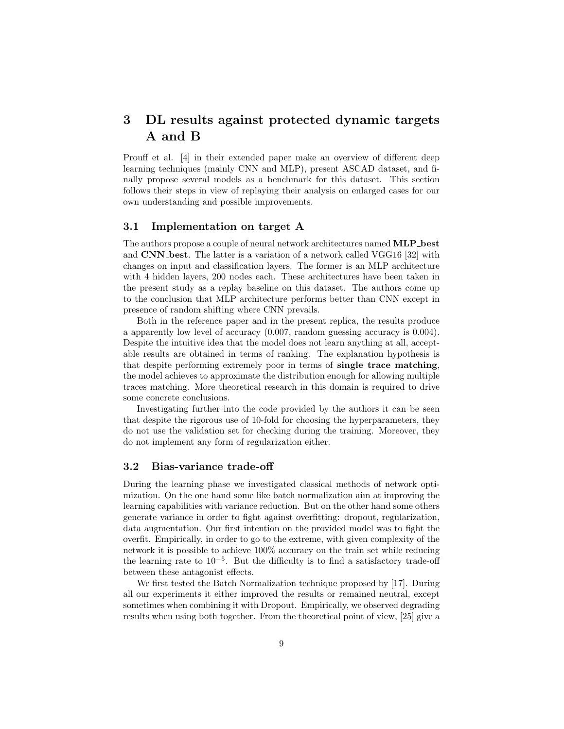# 3 DL results against protected dynamic targets A and B

Prouff et al. [4] in their extended paper make an overview of different deep learning techniques (mainly CNN and MLP), present ASCAD dataset, and finally propose several models as a benchmark for this dataset. This section follows their steps in view of replaying their analysis on enlarged cases for our own understanding and possible improvements.

## 3.1 Implementation on target A

The authors propose a couple of neural network architectures named **MLP**\_best and CNN best. The latter is a variation of a network called VGG16 [32] with changes on input and classification layers. The former is an MLP architecture with 4 hidden layers, 200 nodes each. These architectures have been taken in the present study as a replay baseline on this dataset. The authors come up to the conclusion that MLP architecture performs better than CNN except in presence of random shifting where CNN prevails.

Both in the reference paper and in the present replica, the results produce a apparently low level of accuracy (0.007, random guessing accuracy is 0.004). Despite the intuitive idea that the model does not learn anything at all, acceptable results are obtained in terms of ranking. The explanation hypothesis is that despite performing extremely poor in terms of single trace matching, the model achieves to approximate the distribution enough for allowing multiple traces matching. More theoretical research in this domain is required to drive some concrete conclusions.

Investigating further into the code provided by the authors it can be seen that despite the rigorous use of 10-fold for choosing the hyperparameters, they do not use the validation set for checking during the training. Moreover, they do not implement any form of regularization either.

#### 3.2 Bias-variance trade-off

During the learning phase we investigated classical methods of network optimization. On the one hand some like batch normalization aim at improving the learning capabilities with variance reduction. But on the other hand some others generate variance in order to fight against overfitting: dropout, regularization, data augmentation. Our first intention on the provided model was to fight the overfit. Empirically, in order to go to the extreme, with given complexity of the network it is possible to achieve 100% accuracy on the train set while reducing the learning rate to  $10^{-5}$ . But the difficulty is to find a satisfactory trade-off between these antagonist effects.

We first tested the Batch Normalization technique proposed by [17]. During all our experiments it either improved the results or remained neutral, except sometimes when combining it with Dropout. Empirically, we observed degrading results when using both together. From the theoretical point of view, [25] give a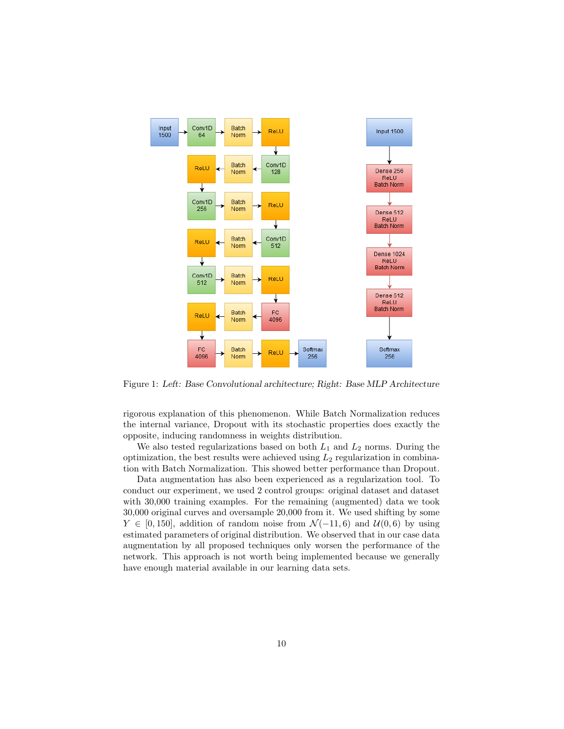

Figure 1: Left: Base Convolutional architecture; Right: Base MLP Architecture

rigorous explanation of this phenomenon. While Batch Normalization reduces the internal variance, Dropout with its stochastic properties does exactly the opposite, inducing randomness in weights distribution.

We also tested regularizations based on both  $L_1$  and  $L_2$  norms. During the optimization, the best results were achieved using  $L_2$  regularization in combination with Batch Normalization. This showed better performance than Dropout.

Data augmentation has also been experienced as a regularization tool. To conduct our experiment, we used 2 control groups: original dataset and dataset with 30,000 training examples. For the remaining (augmented) data we took 30,000 original curves and oversample 20,000 from it. We used shifting by some  $Y \in [0, 150]$ , addition of random noise from  $\mathcal{N}(-11, 6)$  and  $\mathcal{U}(0, 6)$  by using estimated parameters of original distribution. We observed that in our case data augmentation by all proposed techniques only worsen the performance of the network. This approach is not worth being implemented because we generally have enough material available in our learning data sets.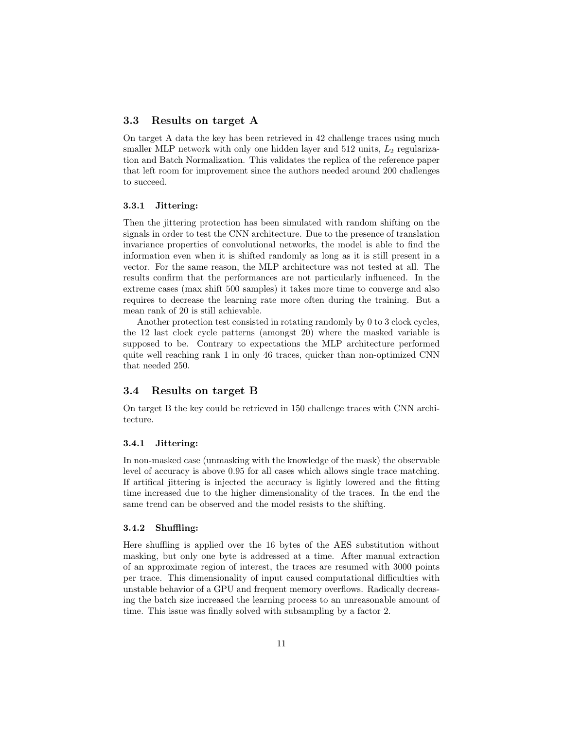## 3.3 Results on target A

On target A data the key has been retrieved in 42 challenge traces using much smaller MLP network with only one hidden layer and  $512$  units,  $L_2$  regularization and Batch Normalization. This validates the replica of the reference paper that left room for improvement since the authors needed around 200 challenges to succeed.

#### 3.3.1 Jittering:

Then the jittering protection has been simulated with random shifting on the signals in order to test the CNN architecture. Due to the presence of translation invariance properties of convolutional networks, the model is able to find the information even when it is shifted randomly as long as it is still present in a vector. For the same reason, the MLP architecture was not tested at all. The results confirm that the performances are not particularly influenced. In the extreme cases (max shift 500 samples) it takes more time to converge and also requires to decrease the learning rate more often during the training. But a mean rank of 20 is still achievable.

Another protection test consisted in rotating randomly by 0 to 3 clock cycles, the 12 last clock cycle patterns (amongst 20) where the masked variable is supposed to be. Contrary to expectations the MLP architecture performed quite well reaching rank 1 in only 46 traces, quicker than non-optimized CNN that needed 250.

#### 3.4 Results on target B

On target B the key could be retrieved in 150 challenge traces with CNN architecture.

#### 3.4.1 Jittering:

In non-masked case (unmasking with the knowledge of the mask) the observable level of accuracy is above 0.95 for all cases which allows single trace matching. If artifical jittering is injected the accuracy is lightly lowered and the fitting time increased due to the higher dimensionality of the traces. In the end the same trend can be observed and the model resists to the shifting.

#### 3.4.2 Shuffling:

Here shuffling is applied over the 16 bytes of the AES substitution without masking, but only one byte is addressed at a time. After manual extraction of an approximate region of interest, the traces are resumed with 3000 points per trace. This dimensionality of input caused computational difficulties with unstable behavior of a GPU and frequent memory overflows. Radically decreasing the batch size increased the learning process to an unreasonable amount of time. This issue was finally solved with subsampling by a factor 2.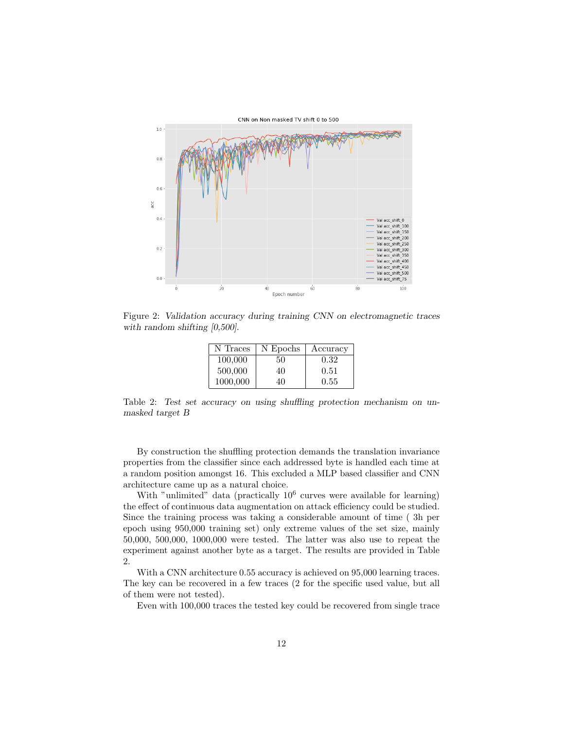

Figure 2: Validation accuracy during training CNN on electromagnetic traces with random shifting  $[0,500]$ .

| N Traces | N Epochs | Accuracy |
|----------|----------|----------|
| 100,000  | 50       | 0.32     |
| 500,000  | 40       | 0.51     |
| 1000,000 | 40       | 0.55     |

Table 2: Test set accuracy on using shuffling protection mechanism on unmasked target B

By construction the shuffling protection demands the translation invariance properties from the classifier since each addressed byte is handled each time at a random position amongst 16. This excluded a MLP based classifier and CNN architecture came up as a natural choice.

With "unlimited" data (practically  $10^6$  curves were available for learning) the effect of continuous data augmentation on attack efficiency could be studied. Since the training process was taking a considerable amount of time ( 3h per epoch using 950,000 training set) only extreme values of the set size, mainly 50,000, 500,000, 1000,000 were tested. The latter was also use to repeat the experiment against another byte as a target. The results are provided in Table 2.

With a CNN architecture 0.55 accuracy is achieved on 95,000 learning traces. The key can be recovered in a few traces (2 for the specific used value, but all of them were not tested).

Even with 100,000 traces the tested key could be recovered from single trace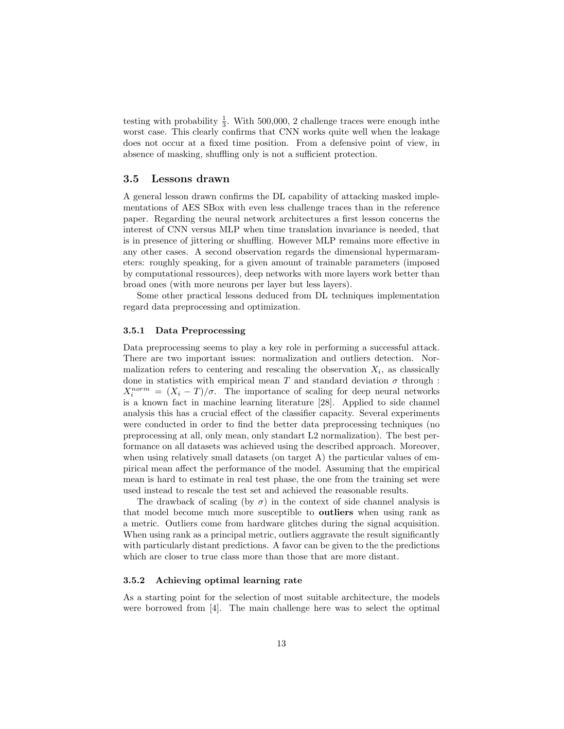testing with probability  $\frac{1}{3}$ . With 500,000, 2 challenge traces were enough inthe worst case. This clearly confirms that CNN works quite well when the leakage does not occur at a fixed time position. From a defensive point of view, in absence of masking, shuffling only is not a sufficient protection.

#### 3.5 Lessons drawn

A general lesson drawn confirms the DL capability of attacking masked implementations of AES SBox with even less challenge traces than in the reference paper. Regarding the neural network architectures a first lesson concerns the interest of CNN versus MLP when time translation invariance is needed, that is in presence of jittering or shuffling. However MLP remains more effective in any other cases. A second observation regards the dimensional hypermarameters: roughly speaking, for a given amount of trainable parameters (imposed by computational ressources), deep networks with more layers work better than broad ones (with more neurons per layer but less layers).

Some other practical lessons deduced from DL techniques implementation regard data preprocessing and optimization.

#### 3.5.1 Data Preprocessing

Data preprocessing seems to play a key role in performing a successful attack. There are two important issues: normalization and outliers detection. Normalization refers to centering and rescaling the observation  $X_i$ , as classically done in statistics with empirical mean T and standard deviation  $\sigma$  through :  $X_i^{norm} = (X_i - T)/\sigma$ . The importance of scaling for deep neural networks is a known fact in machine learning literature [28]. Applied to side channel analysis this has a crucial effect of the classifier capacity. Several experiments were conducted in order to find the better data preprocessing techniques (no preprocessing at all, only mean, only standart L2 normalization). The best performance on all datasets was achieved using the described approach. Moreover, when using relatively small datasets (on target  $A$ ) the particular values of empirical mean affect the performance of the model. Assuming that the empirical mean is hard to estimate in real test phase, the one from the training set were used instead to rescale the test set and achieved the reasonable results.

The drawback of scaling (by  $\sigma$ ) in the context of side channel analysis is that model become much more susceptible to outliers when using rank as a metric. Outliers come from hardware glitches during the signal acquisition. When using rank as a principal metric, outliers aggravate the result significantly with particularly distant predictions. A favor can be given to the the predictions which are closer to true class more than those that are more distant.

#### 3.5.2 Achieving optimal learning rate

As a starting point for the selection of most suitable architecture, the models were borrowed from [4]. The main challenge here was to select the optimal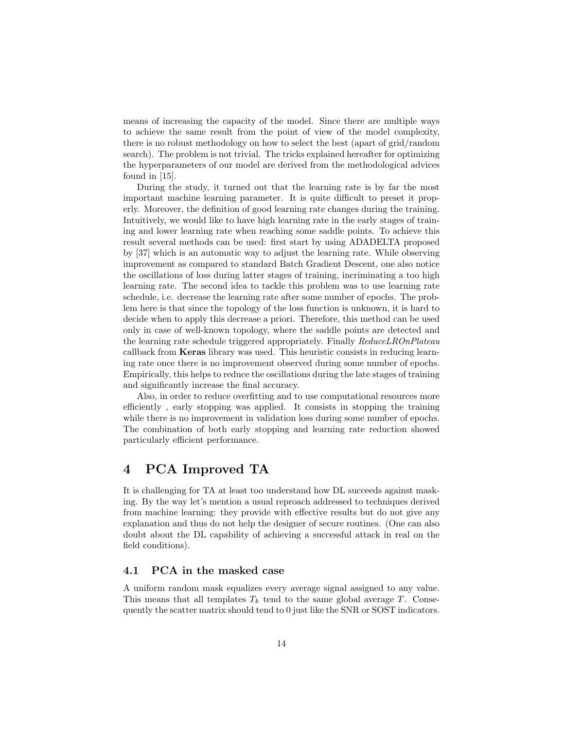means of increasing the capacity of the model. Since there are multiple ways to achieve the same result from the point of view of the model complexity, there is no robust methodology on how to select the best (apart of grid/random search). The problem is not trivial. The tricks explained hereafter for optimizing the hyperparameters of our model are derived from the methodological advices found in [15].

During the study, it turned out that the learning rate is by far the most important machine learning parameter. It is quite difficult to preset it properly. Moreover, the definition of good learning rate changes during the training. Intuitively, we would like to have high learning rate in the early stages of training and lower learning rate when reaching some saddle points. To achieve this result several methods can be used: first start by using ADADELTA proposed by [37] which is an automatic way to adjust the learning rate. While observing improvement as compared to standard Batch Gradient Descent, one also notice the oscillations of loss during latter stages of training, incriminating a too high learning rate. The second idea to tackle this problem was to use learning rate schedule, i.e. decrease the learning rate after some number of epochs. The problem here is that since the topology of the loss function is unknown, it is hard to decide when to apply this decrease a priori. Therefore, this method can be used only in case of well-known topology, where the saddle points are detected and the learning rate schedule triggered appropriately. Finally ReduceLROnPlateau callback from Keras library was used. This heuristic consists in reducing learning rate once there is no improvement observed during some number of epochs. Empirically, this helps to reduce the oscillations during the late stages of training and significantly increase the final accuracy.

Also, in order to reduce overfitting and to use computational resources more efficiently , early stopping was applied. It consists in stopping the training while there is no improvement in validation loss during some number of epochs. The combination of both early stopping and learning rate reduction showed particularly efficient performance.

# 4 PCA Improved TA

It is challenging for TA at least too understand how DL succeeds against masking. By the way let's mention a usual reproach addressed to techniques derived from machine learning: they provide with effective results but do not give any explanation and thus do not help the designer of secure routines. (One can also doubt about the DL capability of achieving a successful attack in real on the field conditions).

## 4.1 PCA in the masked case

A uniform random mask equalizes every average signal assigned to any value. This means that all templates  $T_k$  tend to the same global average T. Consequently the scatter matrix should tend to 0 just like the SNR or SOST indicators.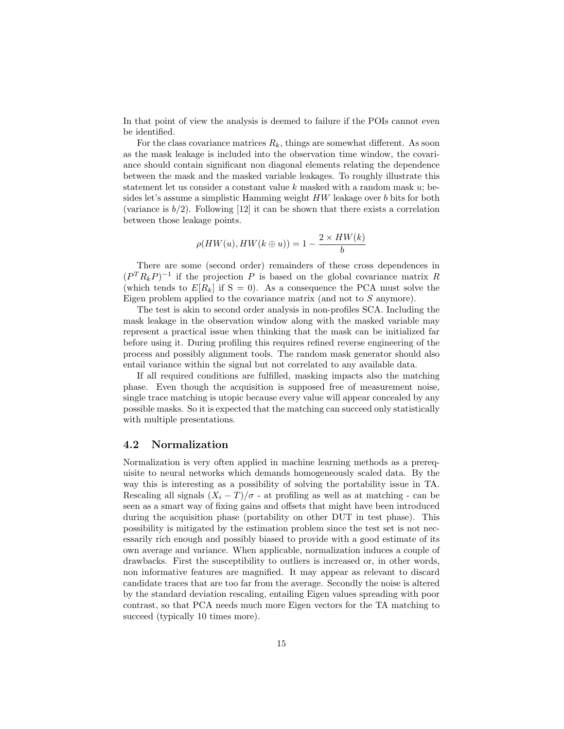In that point of view the analysis is deemed to failure if the POIs cannot even be identified.

For the class covariance matrices  $R_k$ , things are somewhat different. As soon as the mask leakage is included into the observation time window, the covariance should contain significant non diagonal elements relating the dependence between the mask and the masked variable leakages. To roughly illustrate this statement let us consider a constant value  $k$  masked with a random mask  $u$ ; besides let's assume a simplistic Hamming weight HW leakage over b bits for both (variance is  $b/2$ ). Following [12] it can be shown that there exists a correlation between those leakage points.

$$
\rho(HW(u), HW(k \oplus u)) = 1 - \frac{2 \times HW(k)}{b}
$$

There are some (second order) remainders of these cross dependences in  $(P^T R_k P)^{-1}$  if the projection P is based on the global covariance matrix R (which tends to  $E[R_k]$  if  $S = 0$ ). As a consequence the PCA must solve the Eigen problem applied to the covariance matrix (and not to S anymore).

The test is akin to second order analysis in non-profiles SCA. Including the mask leakage in the observation window along with the masked variable may represent a practical issue when thinking that the mask can be initialized far before using it. During profiling this requires refined reverse engineering of the process and possibly alignment tools. The random mask generator should also entail variance within the signal but not correlated to any available data.

If all required conditions are fulfilled, masking impacts also the matching phase. Even though the acquisition is supposed free of measurement noise, single trace matching is utopic because every value will appear concealed by any possible masks. So it is expected that the matching can succeed only statistically with multiple presentations.

## 4.2 Normalization

Normalization is very often applied in machine learning methods as a prerequisite to neural networks which demands homogeneously scaled data. By the way this is interesting as a possibility of solving the portability issue in TA. Rescaling all signals  $(X_i - T)/\sigma$  - at profiling as well as at matching - can be seen as a smart way of fixing gains and offsets that might have been introduced during the acquisition phase (portability on other DUT in test phase). This possibility is mitigated by the estimation problem since the test set is not necessarily rich enough and possibly biased to provide with a good estimate of its own average and variance. When applicable, normalization induces a couple of drawbacks. First the susceptibility to outliers is increased or, in other words, non informative features are magnified. It may appear as relevant to discard candidate traces that are too far from the average. Secondly the noise is altered by the standard deviation rescaling, entailing Eigen values spreading with poor contrast, so that PCA needs much more Eigen vectors for the TA matching to succeed (typically 10 times more).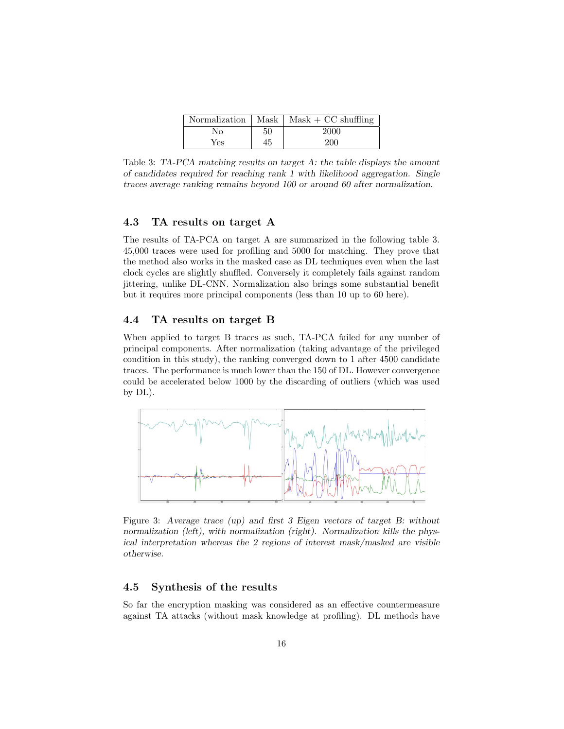| Normalization |    | $\vert$ Mask $\vert$ Mask + CC shuffling |
|---------------|----|------------------------------------------|
| Nο            | 50 | 2000                                     |
| Yes           | 45 | 200                                      |

Table 3: TA-PCA matching results on target A: the table displays the amount of candidates required for reaching rank 1 with likelihood aggregation. Single traces average ranking remains beyond 100 or around 60 after normalization.

## 4.3 TA results on target A

The results of TA-PCA on target A are summarized in the following table 3. 45,000 traces were used for profiling and 5000 for matching. They prove that the method also works in the masked case as DL techniques even when the last clock cycles are slightly shuffled. Conversely it completely fails against random jittering, unlike DL-CNN. Normalization also brings some substantial benefit but it requires more principal components (less than 10 up to 60 here).

## 4.4 TA results on target B

When applied to target B traces as such, TA-PCA failed for any number of principal components. After normalization (taking advantage of the privileged condition in this study), the ranking converged down to 1 after 4500 candidate traces. The performance is much lower than the 150 of DL. However convergence could be accelerated below 1000 by the discarding of outliers (which was used by DL).



Figure 3: Average trace (up) and first 3 Eigen vectors of target B: without normalization (left), with normalization (right). Normalization kills the physical interpretation whereas the 2 regions of interest mask/masked are visible otherwise.

## 4.5 Synthesis of the results

So far the encryption masking was considered as an effective countermeasure against TA attacks (without mask knowledge at profiling). DL methods have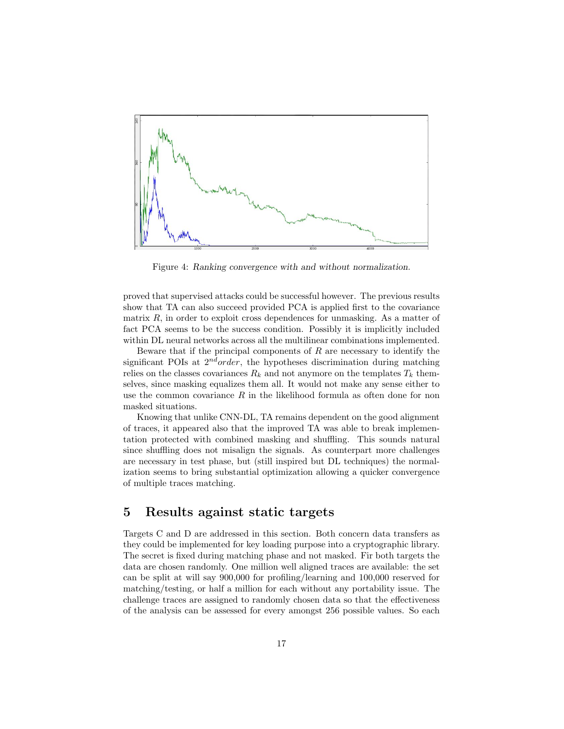

Figure 4: Ranking convergence with and without normalization.

proved that supervised attacks could be successful however. The previous results show that TA can also succeed provided PCA is applied first to the covariance matrix  $R$ , in order to exploit cross dependences for unmasking. As a matter of fact PCA seems to be the success condition. Possibly it is implicitly included within DL neural networks across all the multilinear combinations implemented.

Beware that if the principal components of  $R$  are necessary to identify the significant POIs at  $2^{nd} order$ , the hypotheses discrimination during matching relies on the classes covariances  $R_k$  and not anymore on the templates  $T_k$  themselves, since masking equalizes them all. It would not make any sense either to use the common covariance  $R$  in the likelihood formula as often done for non masked situations.

Knowing that unlike CNN-DL, TA remains dependent on the good alignment of traces, it appeared also that the improved TA was able to break implementation protected with combined masking and shuffling. This sounds natural since shuffling does not misalign the signals. As counterpart more challenges are necessary in test phase, but (still inspired but DL techniques) the normalization seems to bring substantial optimization allowing a quicker convergence of multiple traces matching.

# 5 Results against static targets

Targets C and D are addressed in this section. Both concern data transfers as they could be implemented for key loading purpose into a cryptographic library. The secret is fixed during matching phase and not masked. Fir both targets the data are chosen randomly. One million well aligned traces are available: the set can be split at will say 900,000 for profiling/learning and 100,000 reserved for matching/testing, or half a million for each without any portability issue. The challenge traces are assigned to randomly chosen data so that the effectiveness of the analysis can be assessed for every amongst 256 possible values. So each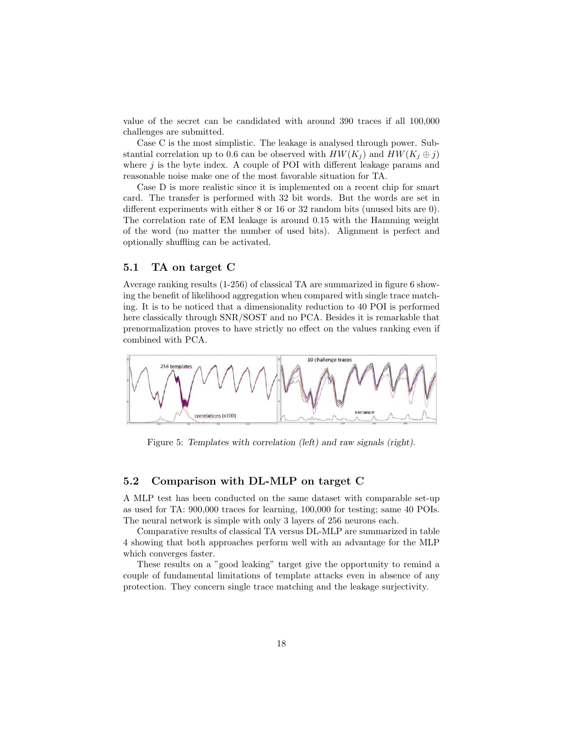value of the secret can be candidated with around 390 traces if all 100,000 challenges are submitted.

Case C is the most simplistic. The leakage is analysed through power. Substantial correlation up to 0.6 can be observed with  $HW(K_i)$  and  $HW(K_i \oplus j)$ where  $j$  is the byte index. A couple of POI with different leakage params and reasonable noise make one of the most favorable situation for TA.

Case D is more realistic since it is implemented on a recent chip for smart card. The transfer is performed with 32 bit words. But the words are set in different experiments with either 8 or 16 or 32 random bits (unused bits are 0). The correlation rate of EM leakage is around 0.15 with the Hamming weight of the word (no matter the number of used bits). Alignment is perfect and optionally shuffling can be activated.

#### 5.1 TA on target C

Average ranking results (1-256) of classical TA are summarized in figure 6 showing the benefit of likelihood aggregation when compared with single trace matching. It is to be noticed that a dimensionality reduction to 40 POI is performed here classically through SNR/SOST and no PCA. Besides it is remarkable that prenormalization proves to have strictly no effect on the values ranking even if combined with PCA.



Figure 5: Templates with correlation (left) and raw signals (right).

## 5.2 Comparison with DL-MLP on target C

A MLP test has been conducted on the same dataset with comparable set-up as used for TA: 900,000 traces for learning, 100,000 for testing; same 40 POIs. The neural network is simple with only 3 layers of 256 neurons each.

Comparative results of classical TA versus DL-MLP are summarized in table 4 showing that both approaches perform well with an advantage for the MLP which converges faster.

These results on a "good leaking" target give the opportunity to remind a couple of fundamental limitations of template attacks even in absence of any protection. They concern single trace matching and the leakage surjectivity.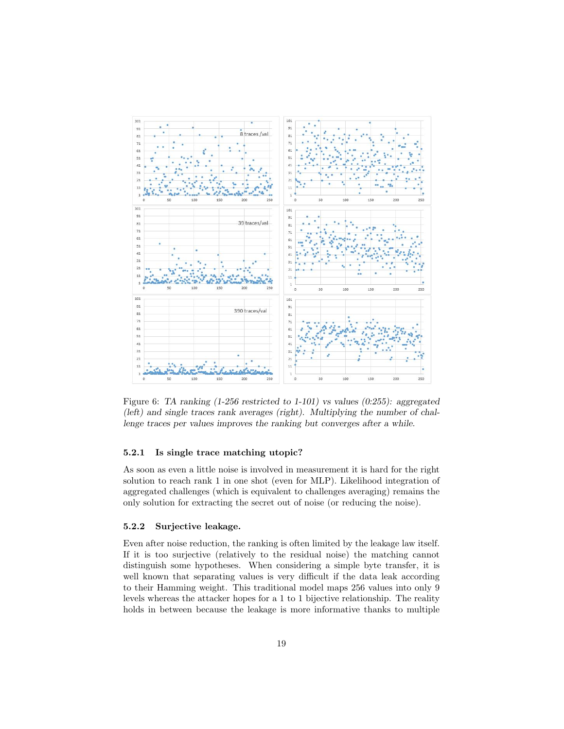

Figure 6: TA ranking (1-256 restricted to 1-101) vs values (0:255): aggregated (left) and single traces rank averages (right). Multiplying the number of challenge traces per values improves the ranking but converges after a while.

#### 5.2.1 Is single trace matching utopic?

As soon as even a little noise is involved in measurement it is hard for the right solution to reach rank 1 in one shot (even for MLP). Likelihood integration of aggregated challenges (which is equivalent to challenges averaging) remains the only solution for extracting the secret out of noise (or reducing the noise).

#### 5.2.2 Surjective leakage.

Even after noise reduction, the ranking is often limited by the leakage law itself. If it is too surjective (relatively to the residual noise) the matching cannot distinguish some hypotheses. When considering a simple byte transfer, it is well known that separating values is very difficult if the data leak according to their Hamming weight. This traditional model maps 256 values into only 9 levels whereas the attacker hopes for a 1 to 1 bijective relationship. The reality holds in between because the leakage is more informative thanks to multiple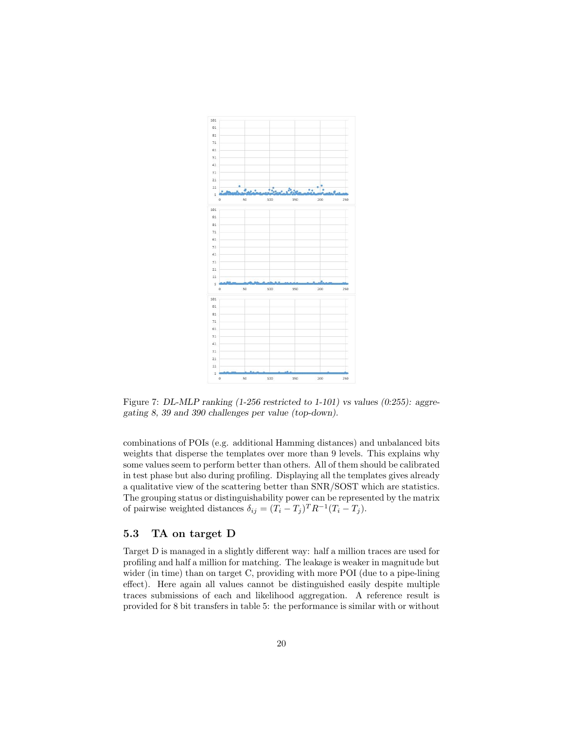

Figure 7: DL-MLP ranking (1-256 restricted to 1-101) vs values (0:255): aggregating 8, 39 and 390 challenges per value (top-down).

combinations of POIs (e.g. additional Hamming distances) and unbalanced bits weights that disperse the templates over more than 9 levels. This explains why some values seem to perform better than others. All of them should be calibrated in test phase but also during profiling. Displaying all the templates gives already a qualitative view of the scattering better than SNR/SOST which are statistics. The grouping status or distinguishability power can be represented by the matrix of pairwise weighted distances  $\delta_{ij} = (T_i - T_j)^T R^{-1} (T_i - T_j)$ .

## 5.3 TA on target D

Target D is managed in a slightly different way: half a million traces are used for profiling and half a million for matching. The leakage is weaker in magnitude but wider (in time) than on target C, providing with more POI (due to a pipe-lining effect). Here again all values cannot be distinguished easily despite multiple traces submissions of each and likelihood aggregation. A reference result is provided for 8 bit transfers in table 5: the performance is similar with or without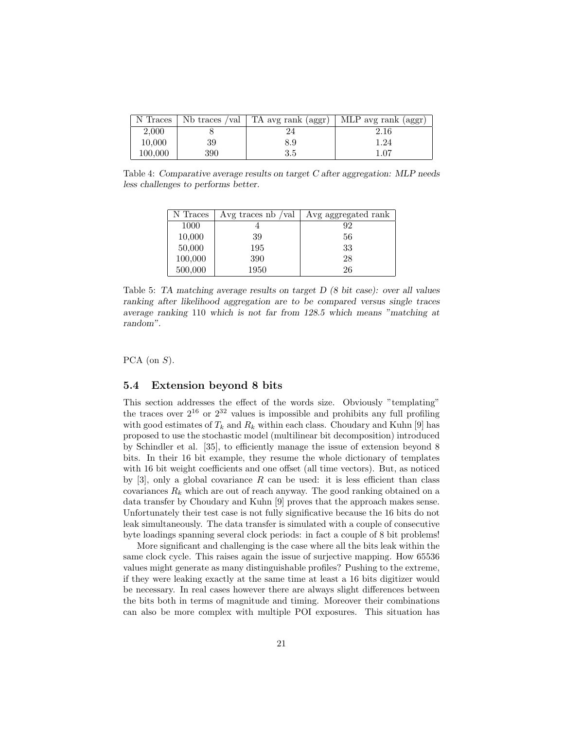| N Traces |     | Nb traces /val   TA avg rank $(aggr)$ | MLP avg rank (aggr) |
|----------|-----|---------------------------------------|---------------------|
| 2,000    |     |                                       | 2.16                |
| 10,000   | 39  | 8.9                                   | 1.24                |
| 100,000  | 390 | 3.5                                   | 1.07                |

Table 4: Comparative average results on target C after aggregation: MLP needs less challenges to performs better.

| N Traces | Avg traces $nb / val$ | Avg aggregated rank |
|----------|-----------------------|---------------------|
| 1000     |                       | 92                  |
| 10,000   | 39                    | 56                  |
| 50,000   | 195                   | 33                  |
| 100,000  | 390                   | 28                  |
| 500,000  | 1950                  | 26                  |

Table 5: TA matching average results on target D (8 bit case): over all values ranking after likelihood aggregation are to be compared versus single traces average ranking 110 which is not far from 128.5 which means "matching at random".

PCA (on  $S$ ).

## 5.4 Extension beyond 8 bits

This section addresses the effect of the words size. Obviously "templating" the traces over  $2^{16}$  or  $2^{32}$  values is impossible and prohibits any full profiling with good estimates of  $T_k$  and  $R_k$  within each class. Choudary and Kuhn [9] has proposed to use the stochastic model (multilinear bit decomposition) introduced by Schindler et al. [35], to efficiently manage the issue of extension beyond 8 bits. In their 16 bit example, they resume the whole dictionary of templates with 16 bit weight coefficients and one offset (all time vectors). But, as noticed by [3], only a global covariance  $R$  can be used: it is less efficient than class covariances  $R_k$  which are out of reach anyway. The good ranking obtained on a data transfer by Choudary and Kuhn [9] proves that the approach makes sense. Unfortunately their test case is not fully significative because the 16 bits do not leak simultaneously. The data transfer is simulated with a couple of consecutive byte loadings spanning several clock periods: in fact a couple of 8 bit problems!

More significant and challenging is the case where all the bits leak within the same clock cycle. This raises again the issue of surjective mapping. How 65536 values might generate as many distinguishable profiles? Pushing to the extreme, if they were leaking exactly at the same time at least a 16 bits digitizer would be necessary. In real cases however there are always slight differences between the bits both in terms of magnitude and timing. Moreover their combinations can also be more complex with multiple POI exposures. This situation has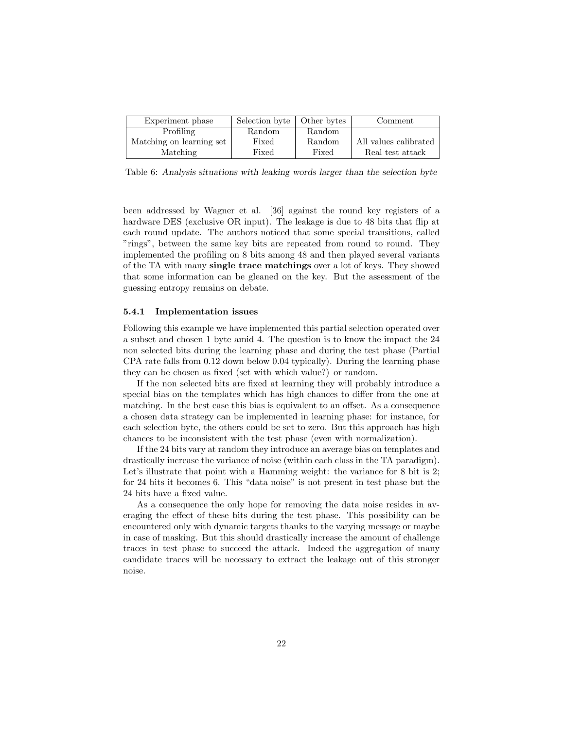| Experiment phase         | Selection byte | Other bytes | Comment               |
|--------------------------|----------------|-------------|-----------------------|
| Profiling                | Random         | Random      |                       |
| Matching on learning set | Fixed          | Random      | All values calibrated |
| <b>Matching</b>          | Fixed          | Fixed       | Real test attack      |

Table 6: Analysis situations with leaking words larger than the selection byte

been addressed by Wagner et al. [36] against the round key registers of a hardware DES (exclusive OR input). The leakage is due to 48 bits that flip at each round update. The authors noticed that some special transitions, called "rings", between the same key bits are repeated from round to round. They implemented the profiling on 8 bits among 48 and then played several variants of the TA with many single trace matchings over a lot of keys. They showed that some information can be gleaned on the key. But the assessment of the guessing entropy remains on debate.

#### 5.4.1 Implementation issues

Following this example we have implemented this partial selection operated over a subset and chosen 1 byte amid 4. The question is to know the impact the 24 non selected bits during the learning phase and during the test phase (Partial CPA rate falls from 0.12 down below 0.04 typically). During the learning phase they can be chosen as fixed (set with which value?) or random.

If the non selected bits are fixed at learning they will probably introduce a special bias on the templates which has high chances to differ from the one at matching. In the best case this bias is equivalent to an offset. As a consequence a chosen data strategy can be implemented in learning phase: for instance, for each selection byte, the others could be set to zero. But this approach has high chances to be inconsistent with the test phase (even with normalization).

If the 24 bits vary at random they introduce an average bias on templates and drastically increase the variance of noise (within each class in the TA paradigm). Let's illustrate that point with a Hamming weight: the variance for 8 bit is 2; for 24 bits it becomes 6. This "data noise" is not present in test phase but the 24 bits have a fixed value.

As a consequence the only hope for removing the data noise resides in averaging the effect of these bits during the test phase. This possibility can be encountered only with dynamic targets thanks to the varying message or maybe in case of masking. But this should drastically increase the amount of challenge traces in test phase to succeed the attack. Indeed the aggregation of many candidate traces will be necessary to extract the leakage out of this stronger noise.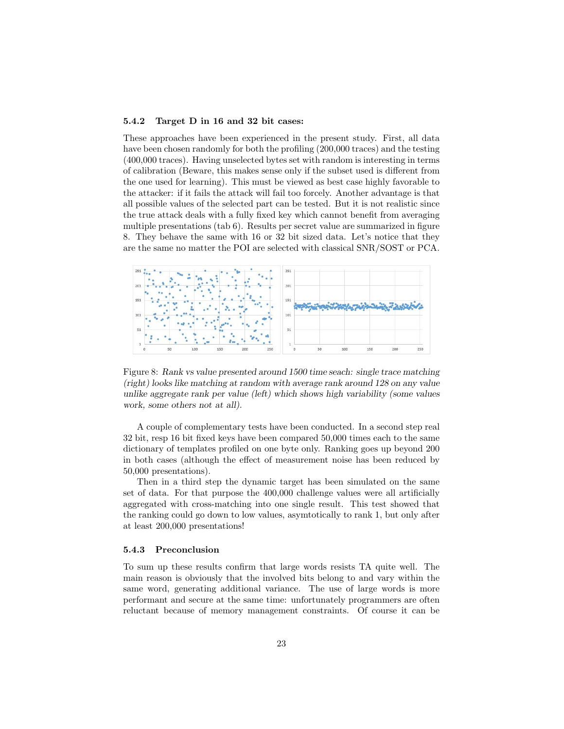#### 5.4.2 Target D in 16 and 32 bit cases:

These approaches have been experienced in the present study. First, all data have been chosen randomly for both the profiling (200,000 traces) and the testing (400,000 traces). Having unselected bytes set with random is interesting in terms of calibration (Beware, this makes sense only if the subset used is different from the one used for learning). This must be viewed as best case highly favorable to the attacker: if it fails the attack will fail too forcely. Another advantage is that all possible values of the selected part can be tested. But it is not realistic since the true attack deals with a fully fixed key which cannot benefit from averaging multiple presentations (tab 6). Results per secret value are summarized in figure 8. They behave the same with 16 or 32 bit sized data. Let's notice that they are the same no matter the POI are selected with classical SNR/SOST or PCA.



Figure 8: Rank vs value presented around 1500 time seach: single trace matching (right) looks like matching at random with average rank around 128 on any value unlike aggregate rank per value (left) which shows high variability (some values work, some others not at all).

A couple of complementary tests have been conducted. In a second step real 32 bit, resp 16 bit fixed keys have been compared 50,000 times each to the same dictionary of templates profiled on one byte only. Ranking goes up beyond 200 in both cases (although the effect of measurement noise has been reduced by 50,000 presentations).

Then in a third step the dynamic target has been simulated on the same set of data. For that purpose the 400,000 challenge values were all artificially aggregated with cross-matching into one single result. This test showed that the ranking could go down to low values, asymtotically to rank 1, but only after at least 200,000 presentations!

#### 5.4.3 Preconclusion

To sum up these results confirm that large words resists TA quite well. The main reason is obviously that the involved bits belong to and vary within the same word, generating additional variance. The use of large words is more performant and secure at the same time: unfortunately programmers are often reluctant because of memory management constraints. Of course it can be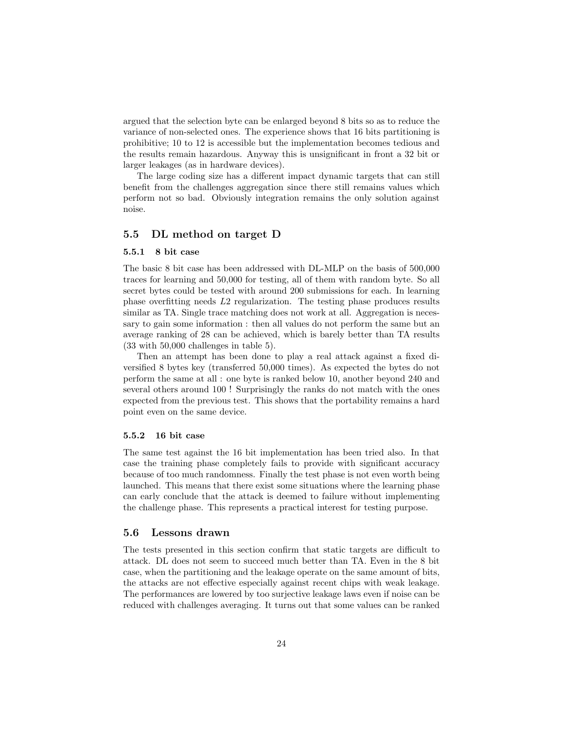argued that the selection byte can be enlarged beyond 8 bits so as to reduce the variance of non-selected ones. The experience shows that 16 bits partitioning is prohibitive; 10 to 12 is accessible but the implementation becomes tedious and the results remain hazardous. Anyway this is unsignificant in front a 32 bit or larger leakages (as in hardware devices).

The large coding size has a different impact dynamic targets that can still benefit from the challenges aggregation since there still remains values which perform not so bad. Obviously integration remains the only solution against noise.

## 5.5 DL method on target D

#### 5.5.1 8 bit case

The basic 8 bit case has been addressed with DL-MLP on the basis of 500,000 traces for learning and 50,000 for testing, all of them with random byte. So all secret bytes could be tested with around 200 submissions for each. In learning phase overfitting needs L2 regularization. The testing phase produces results similar as TA. Single trace matching does not work at all. Aggregation is necessary to gain some information : then all values do not perform the same but an average ranking of 28 can be achieved, which is barely better than TA results (33 with 50,000 challenges in table 5).

Then an attempt has been done to play a real attack against a fixed diversified 8 bytes key (transferred 50,000 times). As expected the bytes do not perform the same at all : one byte is ranked below 10, another beyond 240 and several others around 100 ! Surprisingly the ranks do not match with the ones expected from the previous test. This shows that the portability remains a hard point even on the same device.

#### 5.5.2 16 bit case

The same test against the 16 bit implementation has been tried also. In that case the training phase completely fails to provide with significant accuracy because of too much randomness. Finally the test phase is not even worth being launched. This means that there exist some situations where the learning phase can early conclude that the attack is deemed to failure without implementing the challenge phase. This represents a practical interest for testing purpose.

#### 5.6 Lessons drawn

The tests presented in this section confirm that static targets are difficult to attack. DL does not seem to succeed much better than TA. Even in the 8 bit case, when the partitioning and the leakage operate on the same amount of bits, the attacks are not effective especially against recent chips with weak leakage. The performances are lowered by too surjective leakage laws even if noise can be reduced with challenges averaging. It turns out that some values can be ranked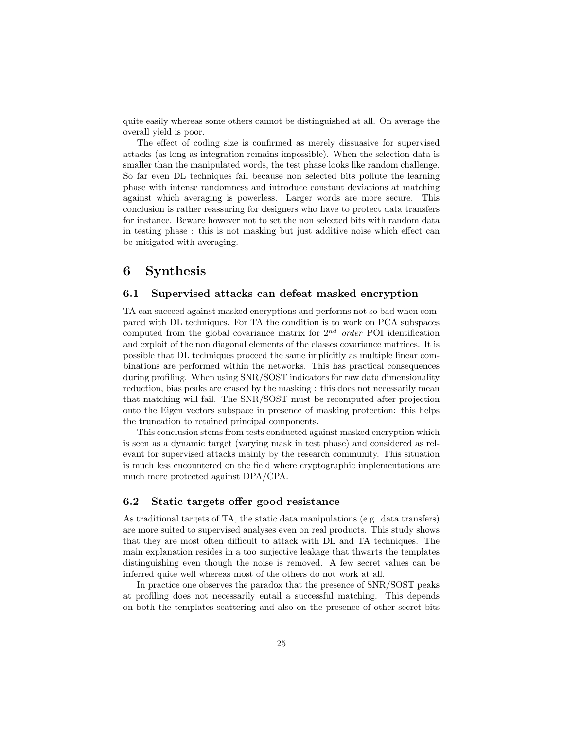quite easily whereas some others cannot be distinguished at all. On average the overall yield is poor.

The effect of coding size is confirmed as merely dissuasive for supervised attacks (as long as integration remains impossible). When the selection data is smaller than the manipulated words, the test phase looks like random challenge. So far even DL techniques fail because non selected bits pollute the learning phase with intense randomness and introduce constant deviations at matching against which averaging is powerless. Larger words are more secure. This conclusion is rather reassuring for designers who have to protect data transfers for instance. Beware however not to set the non selected bits with random data in testing phase : this is not masking but just additive noise which effect can be mitigated with averaging.

# 6 Synthesis

## 6.1 Supervised attacks can defeat masked encryption

TA can succeed against masked encryptions and performs not so bad when compared with DL techniques. For TA the condition is to work on PCA subspaces computed from the global covariance matrix for  $2^{nd}$  order POI identification and exploit of the non diagonal elements of the classes covariance matrices. It is possible that DL techniques proceed the same implicitly as multiple linear combinations are performed within the networks. This has practical consequences during profiling. When using SNR/SOST indicators for raw data dimensionality reduction, bias peaks are erased by the masking : this does not necessarily mean that matching will fail. The SNR/SOST must be recomputed after projection onto the Eigen vectors subspace in presence of masking protection: this helps the truncation to retained principal components.

This conclusion stems from tests conducted against masked encryption which is seen as a dynamic target (varying mask in test phase) and considered as relevant for supervised attacks mainly by the research community. This situation is much less encountered on the field where cryptographic implementations are much more protected against DPA/CPA.

## 6.2 Static targets offer good resistance

As traditional targets of TA, the static data manipulations (e.g. data transfers) are more suited to supervised analyses even on real products. This study shows that they are most often difficult to attack with DL and TA techniques. The main explanation resides in a too surjective leakage that thwarts the templates distinguishing even though the noise is removed. A few secret values can be inferred quite well whereas most of the others do not work at all.

In practice one observes the paradox that the presence of SNR/SOST peaks at profiling does not necessarily entail a successful matching. This depends on both the templates scattering and also on the presence of other secret bits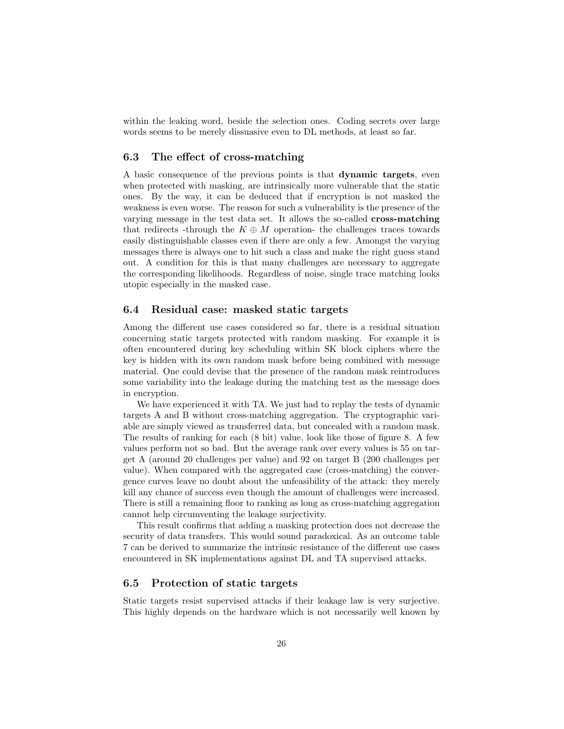within the leaking word, beside the selection ones. Coding secrets over large words seems to be merely dissuasive even to DL methods, at least so far.

## 6.3 The effect of cross-matching

A basic consequence of the previous points is that dynamic targets, even when protected with masking, are intrinsically more vulnerable that the static ones. By the way, it can be deduced that if encryption is not masked the weakness is even worse. The reason for such a vulnerability is the presence of the varying message in the test data set. It allows the so-called cross-matching that redirects -through the  $K \oplus M$  operation- the challenges traces towards easily distinguishable classes even if there are only a few. Amongst the varying messages there is always one to hit such a class and make the right guess stand out. A condition for this is that many challenges are necessary to aggregate the corresponding likelihoods. Regardless of noise, single trace matching looks utopic especially in the masked case.

#### 6.4 Residual case: masked static targets

Among the different use cases considered so far, there is a residual situation concerning static targets protected with random masking. For example it is often encountered during key scheduling within SK block ciphers where the key is hidden with its own random mask before being combined with message material. One could devise that the presence of the random mask reintroduces some variability into the leakage during the matching test as the message does in encryption.

We have experienced it with TA. We just had to replay the tests of dynamic targets A and B without cross-matching aggregation. The cryptographic variable are simply viewed as transferred data, but concealed with a random mask. The results of ranking for each (8 bit) value, look like those of figure 8. A few values perform not so bad. But the average rank over every values is 55 on target A (around 20 challenges per value) and 92 on target B (200 challenges per value). When compared with the aggregated case (cross-matching) the convergence curves leave no doubt about the unfeasibility of the attack: they merely kill any chance of success even though the amount of challenges were increased. There is still a remaining floor to ranking as long as cross-matching aggregation cannot help circumventing the leakage surjectivity.

This result confirms that adding a masking protection does not decrease the security of data transfers. This would sound paradoxical. As an outcome table 7 can be derived to summarize the intrinsic resistance of the different use cases encountered in SK implementations against DL and TA supervised attacks.

## 6.5 Protection of static targets

Static targets resist supervised attacks if their leakage law is very surjective. This highly depends on the hardware which is not necessarily well known by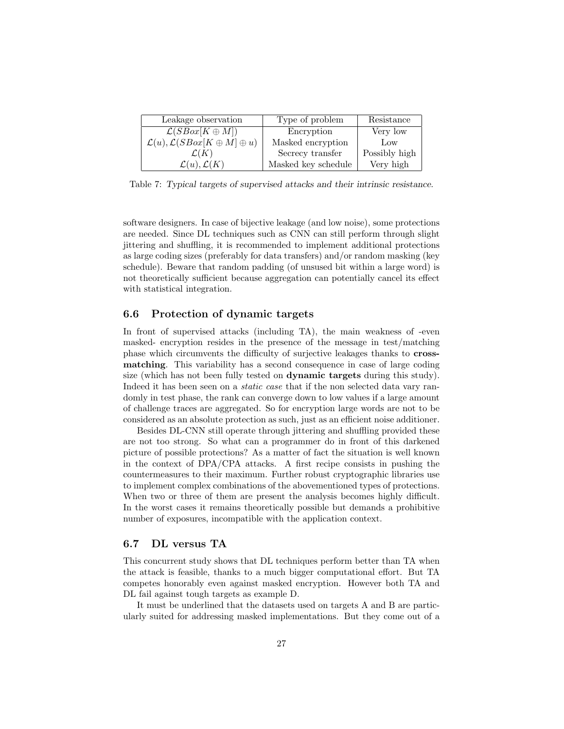| Leakage observation                                         | Type of problem     | Resistance    |
|-------------------------------------------------------------|---------------------|---------------|
| $\mathcal{L}(SBox[K \oplus M])$                             | Encryption          | Very low      |
| $\mathcal{L}(u)$ , $\mathcal{L}(SBox[K \oplus M] \oplus u)$ | Masked encryption   | Low           |
| $\mathcal{L}(K)$                                            | Secrecy transfer    | Possibly high |
| $\mathcal{L}(u), \mathcal{L}(K)$                            | Masked key schedule | Very high     |

Table 7: Typical targets of supervised attacks and their intrinsic resistance.

software designers. In case of bijective leakage (and low noise), some protections are needed. Since DL techniques such as CNN can still perform through slight jittering and shuffling, it is recommended to implement additional protections as large coding sizes (preferably for data transfers) and/or random masking (key schedule). Beware that random padding (of unsused bit within a large word) is not theoretically sufficient because aggregation can potentially cancel its effect with statistical integration.

## 6.6 Protection of dynamic targets

In front of supervised attacks (including TA), the main weakness of -even masked- encryption resides in the presence of the message in test/matching phase which circumvents the difficulty of surjective leakages thanks to crossmatching. This variability has a second consequence in case of large coding size (which has not been fully tested on dynamic targets during this study). Indeed it has been seen on a *static case* that if the non selected data vary randomly in test phase, the rank can converge down to low values if a large amount of challenge traces are aggregated. So for encryption large words are not to be considered as an absolute protection as such, just as an efficient noise additioner.

Besides DL-CNN still operate through jittering and shuffling provided these are not too strong. So what can a programmer do in front of this darkened picture of possible protections? As a matter of fact the situation is well known in the context of DPA/CPA attacks. A first recipe consists in pushing the countermeasures to their maximum. Further robust cryptographic libraries use to implement complex combinations of the abovementioned types of protections. When two or three of them are present the analysis becomes highly difficult. In the worst cases it remains theoretically possible but demands a prohibitive number of exposures, incompatible with the application context.

#### 6.7 DL versus TA

This concurrent study shows that DL techniques perform better than TA when the attack is feasible, thanks to a much bigger computational effort. But TA competes honorably even against masked encryption. However both TA and DL fail against tough targets as example D.

It must be underlined that the datasets used on targets A and B are particularly suited for addressing masked implementations. But they come out of a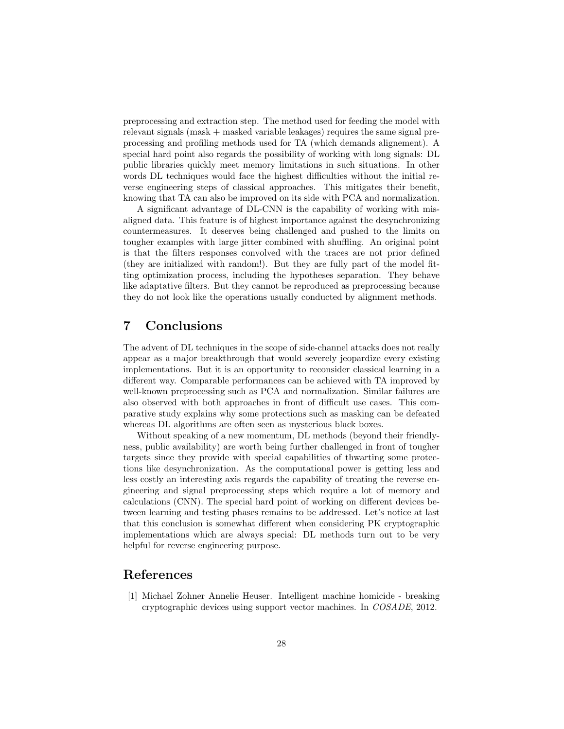preprocessing and extraction step. The method used for feeding the model with relevant signals (mask + masked variable leakages) requires the same signal preprocessing and profiling methods used for TA (which demands alignement). A special hard point also regards the possibility of working with long signals: DL public libraries quickly meet memory limitations in such situations. In other words DL techniques would face the highest difficulties without the initial reverse engineering steps of classical approaches. This mitigates their benefit, knowing that TA can also be improved on its side with PCA and normalization.

A significant advantage of DL-CNN is the capability of working with misaligned data. This feature is of highest importance against the desynchronizing countermeasures. It deserves being challenged and pushed to the limits on tougher examples with large jitter combined with shuffling. An original point is that the filters responses convolved with the traces are not prior defined (they are initialized with random!). But they are fully part of the model fitting optimization process, including the hypotheses separation. They behave like adaptative filters. But they cannot be reproduced as preprocessing because they do not look like the operations usually conducted by alignment methods.

# 7 Conclusions

The advent of DL techniques in the scope of side-channel attacks does not really appear as a major breakthrough that would severely jeopardize every existing implementations. But it is an opportunity to reconsider classical learning in a different way. Comparable performances can be achieved with TA improved by well-known preprocessing such as PCA and normalization. Similar failures are also observed with both approaches in front of difficult use cases. This comparative study explains why some protections such as masking can be defeated whereas DL algorithms are often seen as mysterious black boxes.

Without speaking of a new momentum, DL methods (beyond their friendlyness, public availability) are worth being further challenged in front of tougher targets since they provide with special capabilities of thwarting some protections like desynchronization. As the computational power is getting less and less costly an interesting axis regards the capability of treating the reverse engineering and signal preprocessing steps which require a lot of memory and calculations (CNN). The special hard point of working on different devices between learning and testing phases remains to be addressed. Let's notice at last that this conclusion is somewhat different when considering PK cryptographic implementations which are always special: DL methods turn out to be very helpful for reverse engineering purpose.

# References

[1] Michael Zohner Annelie Heuser. Intelligent machine homicide - breaking cryptographic devices using support vector machines. In COSADE, 2012.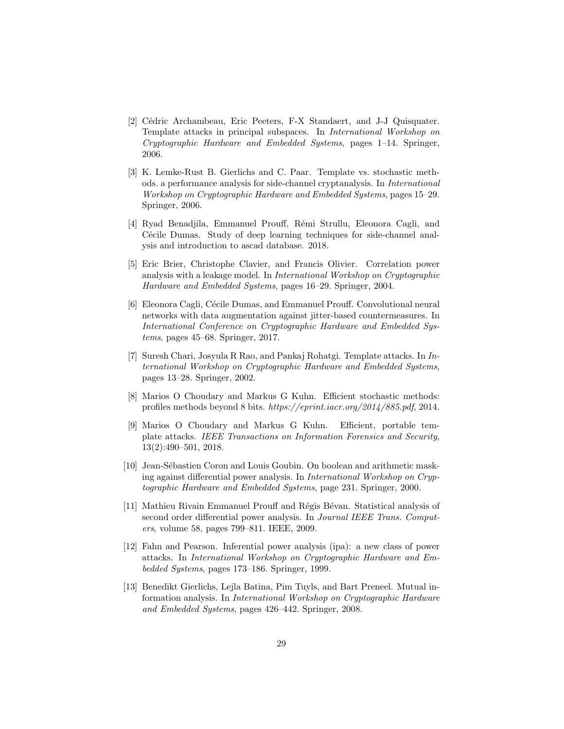- [2] Cédric Archambeau, Eric Peeters, F-X Standaert, and J-J Quisquater. Template attacks in principal subspaces. In International Workshop on Cryptographic Hardware and Embedded Systems, pages 1–14. Springer, 2006.
- [3] K. Lemke-Rust B. Gierlichs and C. Paar. Template vs. stochastic methods. a performance analysis for side-channel cryptanalysis. In International Workshop on Cryptographic Hardware and Embedded Systems, pages 15–29. Springer, 2006.
- [4] Ryad Benadjila, Emmanuel Prouff, R´emi Strullu, Eleonora Cagli, and Cécile Dumas. Study of deep learning techniques for side-channel analysis and introduction to ascad database. 2018.
- [5] Eric Brier, Christophe Clavier, and Francis Olivier. Correlation power analysis with a leakage model. In International Workshop on Cryptographic Hardware and Embedded Systems, pages 16–29. Springer, 2004.
- [6] Eleonora Cagli, Cécile Dumas, and Emmanuel Prouff. Convolutional neural networks with data augmentation against jitter-based countermeasures. In International Conference on Cryptographic Hardware and Embedded Systems, pages 45–68. Springer, 2017.
- [7] Suresh Chari, Josyula R Rao, and Pankaj Rohatgi. Template attacks. In International Workshop on Cryptographic Hardware and Embedded Systems, pages 13–28. Springer, 2002.
- [8] Marios O Choudary and Markus G Kuhn. Efficient stochastic methods: profiles methods beyond 8 bits. https://eprint.iacr.org/2014/885.pdf, 2014.
- [9] Marios O Choudary and Markus G Kuhn. Efficient, portable template attacks. IEEE Transactions on Information Forensics and Security, 13(2):490–501, 2018.
- [10] Jean-Sébastien Coron and Louis Goubin. On boolean and arithmetic masking against differential power analysis. In International Workshop on Cryptographic Hardware and Embedded Systems, page 231. Springer, 2000.
- [11] Mathieu Rivain Emmanuel Prouff and Régis Bévan. Statistical analysis of second order differential power analysis. In Journal IEEE Trans. Computers, volume 58, pages 799–811. IEEE, 2009.
- [12] Fahn and Pearson. Inferential power analysis (ipa): a new class of power attacks. In International Workshop on Cryptographic Hardware and Embedded Systems, pages 173–186. Springer, 1999.
- [13] Benedikt Gierlichs, Lejla Batina, Pim Tuyls, and Bart Preneel. Mutual information analysis. In International Workshop on Cryptographic Hardware and Embedded Systems, pages 426–442. Springer, 2008.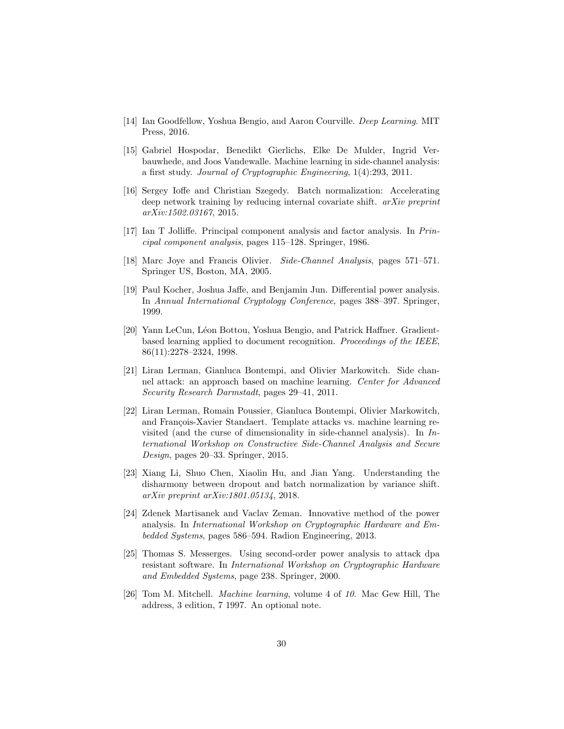- [14] Ian Goodfellow, Yoshua Bengio, and Aaron Courville. Deep Learning. MIT Press, 2016.
- [15] Gabriel Hospodar, Benedikt Gierlichs, Elke De Mulder, Ingrid Verbauwhede, and Joos Vandewalle. Machine learning in side-channel analysis: a first study. Journal of Cryptographic Engineering, 1(4):293, 2011.
- [16] Sergey Ioffe and Christian Szegedy. Batch normalization: Accelerating deep network training by reducing internal covariate shift. arXiv preprint arXiv:1502.03167, 2015.
- [17] Ian T Jolliffe. Principal component analysis and factor analysis. In Principal component analysis, pages 115–128. Springer, 1986.
- [18] Marc Joye and Francis Olivier. Side-Channel Analysis, pages 571–571. Springer US, Boston, MA, 2005.
- [19] Paul Kocher, Joshua Jaffe, and Benjamin Jun. Differential power analysis. In Annual International Cryptology Conference, pages 388–397. Springer, 1999.
- [20] Yann LeCun, Léon Bottou, Yoshua Bengio, and Patrick Haffner. Gradientbased learning applied to document recognition. Proceedings of the IEEE, 86(11):2278–2324, 1998.
- [21] Liran Lerman, Gianluca Bontempi, and Olivier Markowitch. Side channel attack: an approach based on machine learning. Center for Advanced Security Research Darmstadt, pages 29–41, 2011.
- [22] Liran Lerman, Romain Poussier, Gianluca Bontempi, Olivier Markowitch, and François-Xavier Standaert. Template attacks vs. machine learning revisited (and the curse of dimensionality in side-channel analysis). In  $In$ ternational Workshop on Constructive Side-Channel Analysis and Secure Design, pages 20–33. Springer, 2015.
- [23] Xiang Li, Shuo Chen, Xiaolin Hu, and Jian Yang. Understanding the disharmony between dropout and batch normalization by variance shift. arXiv preprint arXiv:1801.05134, 2018.
- [24] Zdenek Martisanek and Vaclav Zeman. Innovative method of the power analysis. In International Workshop on Cryptographic Hardware and Embedded Systems, pages 586–594. Radion Engineering, 2013.
- [25] Thomas S. Messerges. Using second-order power analysis to attack dpa resistant software. In International Workshop on Cryptographic Hardware and Embedded Systems, page 238. Springer, 2000.
- [26] Tom M. Mitchell. Machine learning, volume 4 of 10. Mac Gew Hill, The address, 3 edition, 7 1997. An optional note.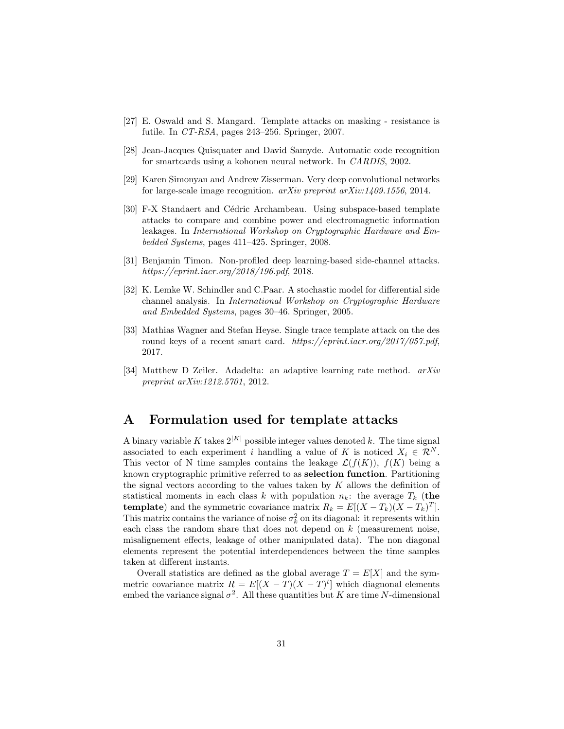- [27] E. Oswald and S. Mangard. Template attacks on masking resistance is futile. In CT-RSA, pages 243–256. Springer, 2007.
- [28] Jean-Jacques Quisquater and David Samyde. Automatic code recognition for smartcards using a kohonen neural network. In CARDIS, 2002.
- [29] Karen Simonyan and Andrew Zisserman. Very deep convolutional networks for large-scale image recognition. arXiv preprint arXiv:1409.1556, 2014.
- [30] F-X Standaert and Cédric Archambeau. Using subspace-based template attacks to compare and combine power and electromagnetic information leakages. In International Workshop on Cryptographic Hardware and Embedded Systems, pages 411–425. Springer, 2008.
- [31] Benjamin Timon. Non-profiled deep learning-based side-channel attacks. https://eprint.iacr.org/2018/196.pdf, 2018.
- [32] K. Lemke W. Schindler and C.Paar. A stochastic model for differential side channel analysis. In International Workshop on Cryptographic Hardware and Embedded Systems, pages 30–46. Springer, 2005.
- [33] Mathias Wagner and Stefan Heyse. Single trace template attack on the des round keys of a recent smart card. https://eprint.iacr.org/2017/057.pdf, 2017.
- [34] Matthew D Zeiler. Adadelta: an adaptive learning rate method. arXiv preprint arXiv:1212.5701, 2012.

# A Formulation used for template attacks

A binary variable K takes  $2^{|K|}$  possible integer values denoted k. The time signal associated to each experiment i handling a value of K is noticed  $X_i \in \mathcal{R}^N$ . This vector of N time samples contains the leakage  $\mathcal{L}(f(K))$ ,  $f(K)$  being a known cryptographic primitive referred to as selection function. Partitioning the signal vectors according to the values taken by  $K$  allows the definition of statistical moments in each class k with population  $n_k$ : the average  $T_k$  (the **template**) and the symmetric covariance matrix  $R_k = E[(X - T_k)(X - T_k)^T]$ . This matrix contains the variance of noise  $\sigma_k^2$  on its diagonal: it represents within each class the random share that does not depend on  $k$  (measurement noise, misalignement effects, leakage of other manipulated data). The non diagonal elements represent the potential interdependences between the time samples taken at different instants.

Overall statistics are defined as the global average  $T = E[X]$  and the symmetric covariance matrix  $R = E[(X - T)(X - T)^t]$  which diagnonal elements embed the variance signal  $\sigma^2$ . All these quantities but K are time N-dimensional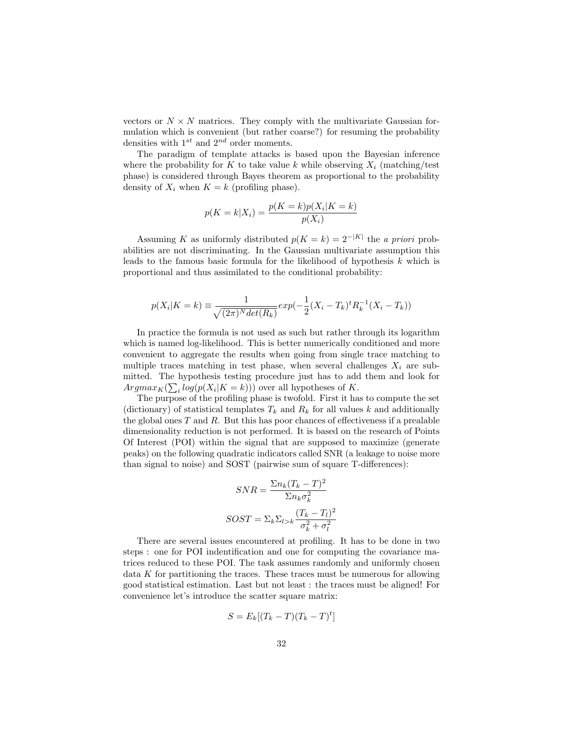vectors or  $N \times N$  matrices. They comply with the multivariate Gaussian formulation which is convenient (but rather coarse?) for resuming the probability densities with  $1^{st}$  and  $2^{nd}$  order moments.

The paradigm of template attacks is based upon the Bayesian inference where the probability for K to take value k while observing  $X_i$  (matching/test phase) is considered through Bayes theorem as proportional to the probability density of  $X_i$  when  $K = k$  (profiling phase).

$$
p(K = k|X_i) = \frac{p(K = k)p(X_i|K = k)}{p(X_i)}
$$

Assuming K as uniformly distributed  $p(K = k) = 2^{-|K|}$  the a priori probabilities are not discriminating. In the Gaussian multivariate assumption this leads to the famous basic formula for the likelihood of hypothesis  $k$  which is proportional and thus assimilated to the conditional probability:

$$
p(X_i|K = k) \equiv \frac{1}{\sqrt{(2\pi)^N \det(R_k)}} exp(-\frac{1}{2}(X_i - T_k)^t R_k^{-1}(X_i - T_k))
$$

In practice the formula is not used as such but rather through its logarithm which is named log-likelihood. This is better numerically conditioned and more convenient to aggregate the results when going from single trace matching to multiple traces matching in test phase, when several challenges  $X_i$  are submitted. The hypothesis testing procedure just has to add them and look for  $Argmax_K(\sum_i log(p(X_i|K = k)))$  over all hypotheses of K.

The purpose of the profiling phase is twofold. First it has to compute the set (dictionary) of statistical templates  $T_k$  and  $R_k$  for all values k and additionally the global ones  $T$  and  $R$ . But this has poor chances of effectiveness if a prealable dimensionality reduction is not performed. It is based on the research of Points Of Interest (POI) within the signal that are supposed to maximize (generate peaks) on the following quadratic indicators called SNR (a leakage to noise more than signal to noise) and SOST (pairwise sum of square T-differences):

$$
SNR = \frac{\sum n_k (T_k - T)^2}{\sum n_k \sigma_k^2}
$$

$$
SOST = \sum_k \sum_{l>k} \frac{(T_k - T_l)^2}{\sigma_k^2 + \sigma_l^2}
$$

There are several issues encountered at profiling. It has to be done in two steps : one for POI indentification and one for computing the covariance matrices reduced to these POI. The task assumes randomly and uniformly chosen data K for partitioning the traces. These traces must be numerous for allowing good statistical estimation. Last but not least : the traces must be aligned! For convenience let's introduce the scatter square matrix:

$$
S = E_k[(T_k - T)(T_k - T)^t]
$$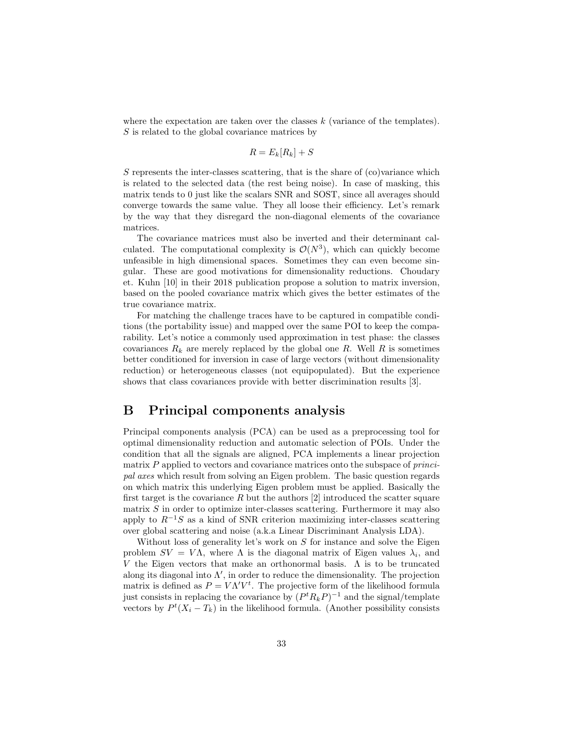where the expectation are taken over the classes  $k$  (variance of the templates). S is related to the global covariance matrices by

$$
R = E_k[R_k] + S
$$

 $S$  represents the inter-classes scattering, that is the share of  $(c<sub>o</sub>)$  variance which is related to the selected data (the rest being noise). In case of masking, this matrix tends to 0 just like the scalars SNR and SOST, since all averages should converge towards the same value. They all loose their efficiency. Let's remark by the way that they disregard the non-diagonal elements of the covariance matrices.

The covariance matrices must also be inverted and their determinant calculated. The computational complexity is  $\mathcal{O}(N^3)$ , which can quickly become unfeasible in high dimensional spaces. Sometimes they can even become singular. These are good motivations for dimensionality reductions. Choudary et. Kuhn [10] in their 2018 publication propose a solution to matrix inversion, based on the pooled covariance matrix which gives the better estimates of the true covariance matrix.

For matching the challenge traces have to be captured in compatible conditions (the portability issue) and mapped over the same POI to keep the comparability. Let's notice a commonly used approximation in test phase: the classes covariances  $R_k$  are merely replaced by the global one R. Well R is sometimes better conditioned for inversion in case of large vectors (without dimensionality reduction) or heterogeneous classes (not equipopulated). But the experience shows that class covariances provide with better discrimination results [3].

# B Principal components analysis

Principal components analysis (PCA) can be used as a preprocessing tool for optimal dimensionality reduction and automatic selection of POIs. Under the condition that all the signals are aligned, PCA implements a linear projection matrix  $P$  applied to vectors and covariance matrices onto the subspace of *princi*pal axes which result from solving an Eigen problem. The basic question regards on which matrix this underlying Eigen problem must be applied. Basically the first target is the covariance R but the authors  $[2]$  introduced the scatter square matrix  $S$  in order to optimize inter-classes scattering. Furthermore it may also apply to  $R^{-1}S$  as a kind of SNR criterion maximizing inter-classes scattering over global scattering and noise (a.k.a Linear Discriminant Analysis LDA).

Without loss of generality let's work on  $S$  for instance and solve the Eigen problem  $SV = V\Lambda$ , where  $\Lambda$  is the diagonal matrix of Eigen values  $\lambda_i$ , and V the Eigen vectors that make an orthonormal basis.  $\Lambda$  is to be truncated along its diagonal into  $\Lambda'$ , in order to reduce the dimensionality. The projection matrix is defined as  $P = V \Lambda^{\prime} V^t$ . The projective form of the likelihood formula just consists in replacing the covariance by  $(P^t R_k P)^{-1}$  and the signal/template vectors by  $P^t(X_i - T_k)$  in the likelihood formula. (Another possibility consists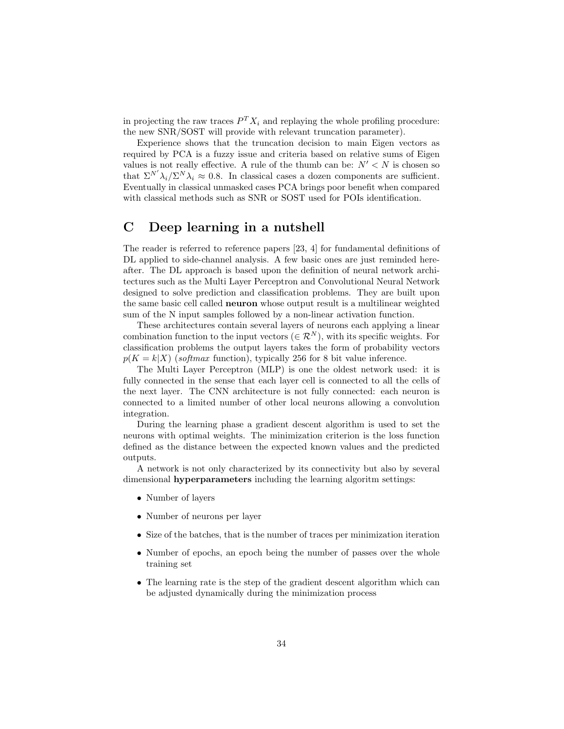in projecting the raw traces  $P^{T} X_i$  and replaying the whole profiling procedure: the new SNR/SOST will provide with relevant truncation parameter).

Experience shows that the truncation decision to main Eigen vectors as required by PCA is a fuzzy issue and criteria based on relative sums of Eigen values is not really effective. A rule of the thumb can be:  $N' < N$  is chosen so that  $\Sigma^{N'} \lambda_i / \Sigma^N \lambda_i \approx 0.8$ . In classical cases a dozen components are sufficient. Eventually in classical unmasked cases PCA brings poor benefit when compared with classical methods such as SNR or SOST used for POIs identification.

# C Deep learning in a nutshell

The reader is referred to reference papers [23, 4] for fundamental definitions of DL applied to side-channel analysis. A few basic ones are just reminded hereafter. The DL approach is based upon the definition of neural network architectures such as the Multi Layer Perceptron and Convolutional Neural Network designed to solve prediction and classification problems. They are built upon the same basic cell called neuron whose output result is a multilinear weighted sum of the N input samples followed by a non-linear activation function.

These architectures contain several layers of neurons each applying a linear combination function to the input vectors ( $\in \mathcal{R}^{N}$ ), with its specific weights. For classification problems the output layers takes the form of probability vectors  $p(K = k|X)$  (softmax function), typically 256 for 8 bit value inference.

The Multi Layer Perceptron (MLP) is one the oldest network used: it is fully connected in the sense that each layer cell is connected to all the cells of the next layer. The CNN architecture is not fully connected: each neuron is connected to a limited number of other local neurons allowing a convolution integration.

During the learning phase a gradient descent algorithm is used to set the neurons with optimal weights. The minimization criterion is the loss function defined as the distance between the expected known values and the predicted outputs.

A network is not only characterized by its connectivity but also by several dimensional hyperparameters including the learning algoritm settings:

- Number of layers
- Number of neurons per layer
- Size of the batches, that is the number of traces per minimization iteration
- Number of epochs, an epoch being the number of passes over the whole training set
- The learning rate is the step of the gradient descent algorithm which can be adjusted dynamically during the minimization process